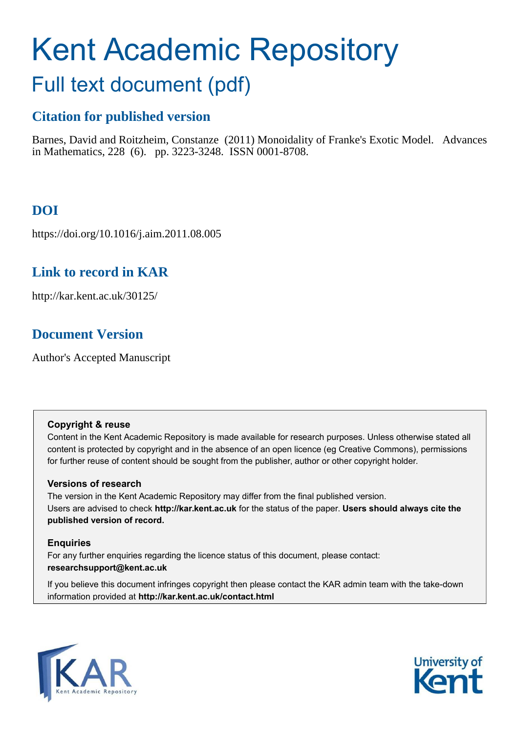# Kent Academic Repository

# Full text document (pdf)

# **Citation for published version**

Barnes, David and Roitzheim, Constanze (2011) Monoidality of Franke's Exotic Model. Advances in Mathematics, 228 (6). pp. 3223-3248. ISSN 0001-8708.

# **DOI**

https://doi.org/10.1016/j.aim.2011.08.005

# **Link to record in KAR**

http://kar.kent.ac.uk/30125/

# **Document Version**

Author's Accepted Manuscript

# **Copyright & reuse**

Content in the Kent Academic Repository is made available for research purposes. Unless otherwise stated all content is protected by copyright and in the absence of an open licence (eg Creative Commons), permissions for further reuse of content should be sought from the publisher, author or other copyright holder.

# **Versions of research**

The version in the Kent Academic Repository may differ from the final published version. Users are advised to check **http://kar.kent.ac.uk** for the status of the paper. **Users should always cite the published version of record.**

# **Enquiries**

For any further enquiries regarding the licence status of this document, please contact: **researchsupport@kent.ac.uk**

If you believe this document infringes copyright then please contact the KAR admin team with the take-down information provided at **http://kar.kent.ac.uk/contact.html**



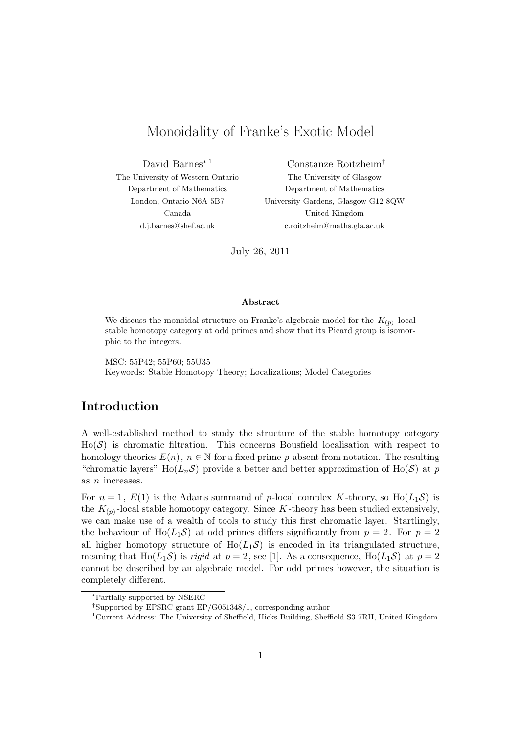# Monoidality of Franke's Exotic Model

David Barnes<sup>∗</sup> <sup>1</sup> The University of Western Ontario Department of Mathematics London, Ontario N6A 5B7 Canada d.j.barnes@shef.ac.uk

Constanze Roitzheim† The University of Glasgow Department of Mathematics University Gardens, Glasgow G12 8QW United Kingdom c.roitzheim@maths.gla.ac.uk

July 26, 2011

#### Abstract

We discuss the monoidal structure on Franke's algebraic model for the  $K_{(p)}$ -local stable homotopy category at odd primes and show that its Picard group is isomorphic to the integers.

MSC: 55P42; 55P60; 55U35 Keywords: Stable Homotopy Theory; Localizations; Model Categories

# Introduction

A well-established method to study the structure of the stable homotopy category  $Ho(S)$  is chromatic filtration. This concerns Bousfield localisation with respect to homology theories  $E(n)$ ,  $n \in \mathbb{N}$  for a fixed prime p absent from notation. The resulting "chromatic layers"  $Ho(L_n\mathcal{S})$  provide a better and better approximation of  $Ho(\mathcal{S})$  at p as n increases.

For  $n = 1$ ,  $E(1)$  is the Adams summand of p-local complex K-theory, so  $H_0(L_1S)$  is the  $K_{(p)}$ -local stable homotopy category. Since K-theory has been studied extensively, we can make use of a wealth of tools to study this first chromatic layer. Startlingly, the behaviour of Ho( $L_1\mathcal{S}$ ) at odd primes differs significantly from  $p=2$ . For  $p=2$ all higher homotopy structure of  $Ho(L_1\mathcal{S})$  is encoded in its triangulated structure, meaning that Ho( $L_1S$ ) is rigid at  $p=2$ , see [1]. As a consequence, Ho( $L_1S$ ) at  $p=2$ cannot be described by an algebraic model. For odd primes however, the situation is completely different.

<sup>∗</sup>Partially supported by NSERC

<sup>†</sup>Supported by EPSRC grant EP/G051348/1, corresponding author

<sup>1</sup>Current Address: The University of Sheffield, Hicks Building, Sheffield S3 7RH, United Kingdom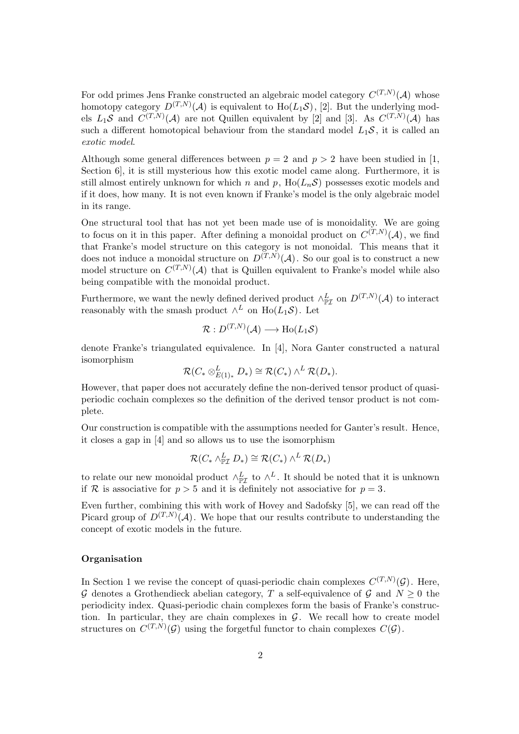For odd primes Jens Franke constructed an algebraic model category  $C^{(T,N)}(\mathcal{A})$  whose homotopy category  $D^{(T,N)}(\mathcal{A})$  is equivalent to  $\text{Ho}(L_1\mathcal{S}),$  [2]. But the underlying models  $L_1S$  and  $C^{(T,N)}(\mathcal{A})$  are not Quillen equivalent by [2] and [3]. As  $C^{(T,N)}(\mathcal{A})$  has such a different homotopical behaviour from the standard model  $L_1S$ , it is called an exotic model.

Although some general differences between  $p = 2$  and  $p > 2$  have been studied in [1, Section 6], it is still mysterious how this exotic model came along. Furthermore, it is still almost entirely unknown for which n and p,  $Ho(L_nS)$  possesses exotic models and if it does, how many. It is not even known if Franke's model is the only algebraic model in its range.

One structural tool that has not yet been made use of is monoidality. We are going to focus on it in this paper. After defining a monoidal product on  $C^{(T,N)}(\mathcal{A})$ , we find that Franke's model structure on this category is not monoidal. This means that it does not induce a monoidal structure on  $D^{(T,N)}(\mathcal{A})$ . So our goal is to construct a new model structure on  $C^{(T,N)}(\mathcal{A})$  that is Quillen equivalent to Franke's model while also being compatible with the monoidal product.

Furthermore, we want the newly defined derived product  $\wedge_{\mathbb{P}\mathcal{I}}^L$  on  $D^{(T,N)}(\mathcal{A})$  to interact reasonably with the smash product  $\wedge^L$  on  $\text{Ho}(L_1\mathcal{S})$ . Let

$$
\mathcal{R}:D^{(T,N)}(\mathcal{A})\longrightarrow \text{Ho}(L_1\mathcal{S})
$$

denote Franke's triangulated equivalence. In [4], Nora Ganter constructed a natural isomorphism

$$
\mathcal{R}(C_* \otimes_{E(1)_*}^L D_*) \cong \mathcal{R}(C_*) \wedge^L \mathcal{R}(D_*).
$$

However, that paper does not accurately define the non-derived tensor product of quasiperiodic cochain complexes so the definition of the derived tensor product is not complete.

Our construction is compatible with the assumptions needed for Ganter's result. Hence, it closes a gap in [4] and so allows us to use the isomorphism

$$
\mathcal{R}(C_* \wedge^L_{\mathbb{P}\mathcal{I}} D_*) \cong \mathcal{R}(C_*) \wedge^L \mathcal{R}(D_*)
$$

to relate our new monoidal product  $\wedge_{\mathbb{P}\mathcal{I}}^L$  to  $\wedge^L$ . It should be noted that it is unknown if R is associative for  $p > 5$  and it is definitely not associative for  $p = 3$ .

Even further, combining this with work of Hovey and Sadofsky [5], we can read off the Picard group of  $D^{(T,N)}(\mathcal{A})$ . We hope that our results contribute to understanding the concept of exotic models in the future.

#### Organisation

In Section 1 we revise the concept of quasi-periodic chain complexes  $C^{(T,N)}(\mathcal{G})$ . Here, G denotes a Grothendieck abelian category, T a self-equivalence of G and  $N \geq 0$  the periodicity index. Quasi-periodic chain complexes form the basis of Franke's construction. In particular, they are chain complexes in  $G$ . We recall how to create model structures on  $C^{(T,N)}(\mathcal{G})$  using the forgetful functor to chain complexes  $C(\mathcal{G})$ .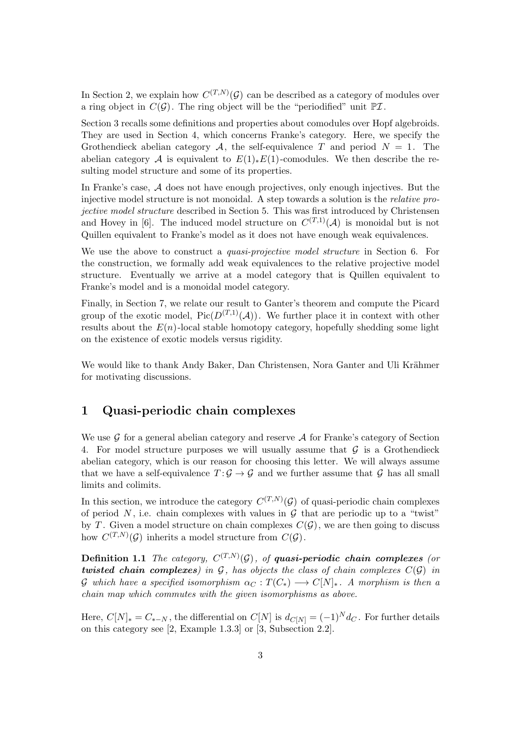In Section 2, we explain how  $C^{(T,N)}(\mathcal{G})$  can be described as a category of modules over a ring object in  $C(\mathcal{G})$ . The ring object will be the "periodified" unit  $\mathbb{P}\mathcal{I}$ .

Section 3 recalls some definitions and properties about comodules over Hopf algebroids. They are used in Section 4, which concerns Franke's category. Here, we specify the Grothendieck abelian category A, the self-equivalence T and period  $N = 1$ . The abelian category A is equivalent to  $E(1)_*E(1)$ -comodules. We then describe the resulting model structure and some of its properties.

In Franke's case, A does not have enough projectives, only enough injectives. But the injective model structure is not monoidal. A step towards a solution is the relative projective model structure described in Section 5. This was first introduced by Christensen and Hovey in [6]. The induced model structure on  $C^{(T,1)}(\mathcal{A})$  is monoidal but is not Quillen equivalent to Franke's model as it does not have enough weak equivalences.

We use the above to construct a *quasi-projective model structure* in Section 6. For the construction, we formally add weak equivalences to the relative projective model structure. Eventually we arrive at a model category that is Quillen equivalent to Franke's model and is a monoidal model category.

Finally, in Section 7, we relate our result to Ganter's theorem and compute the Picard group of the exotic model,  $Pic(D^{(T,1)}(\mathcal{A}))$ . We further place it in context with other results about the  $E(n)$ -local stable homotopy category, hopefully shedding some light on the existence of exotic models versus rigidity.

We would like to thank Andy Baker, Dan Christensen, Nora Ganter and Uli Krähmer for motivating discussions.

## 1 Quasi-periodic chain complexes

We use  $\mathcal G$  for a general abelian category and reserve  $\mathcal A$  for Franke's category of Section 4. For model structure purposes we will usually assume that  $\mathcal G$  is a Grothendieck abelian category, which is our reason for choosing this letter. We will always assume that we have a self-equivalence  $T: \mathcal{G} \to \mathcal{G}$  and we further assume that  $\mathcal{G}$  has all small limits and colimits.

In this section, we introduce the category  $C^{(T,N)}(\mathcal{G})$  of quasi-periodic chain complexes of period  $N$ , i.e. chain complexes with values in  $\mathcal G$  that are periodic up to a "twist" by T. Given a model structure on chain complexes  $C(G)$ , we are then going to discuss how  $C^{(T,N)}(\mathcal{G})$  inherits a model structure from  $C(\mathcal{G})$ .

**Definition 1.1** The category,  $C^{(T,N)}(\mathcal{G})$ , of **quasi-periodic chain complexes** (or twisted chain complexes) in G, has objects the class of chain complexes  $C(G)$  in G which have a specified isomorphism  $\alpha_C : T(C_*) \longrightarrow C[N]_*$ . A morphism is then a chain map which commutes with the given isomorphisms as above.

Here,  $C[N]_{*} = C_{*-N}$ , the differential on  $C[N]$  is  $d_{C[N]} = (-1)^{N} d_{C}$ . For further details on this category see [2, Example 1.3.3] or [3, Subsection 2.2].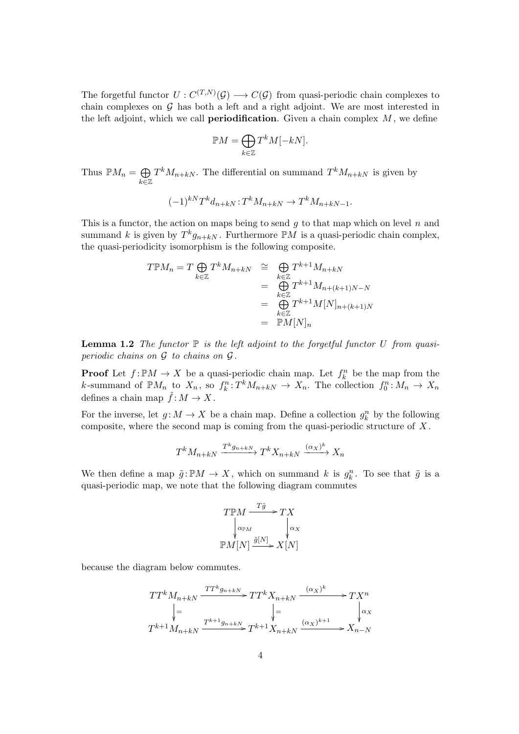The forgetful functor  $U: C^{(T,N)}(\mathcal{G}) \longrightarrow C(\mathcal{G})$  from quasi-periodic chain complexes to chain complexes on  $G$  has both a left and a right adjoint. We are most interested in the left adjoint, which we call **periodification**. Given a chain complex  $M$ , we define

$$
\mathbb{P}M = \bigoplus_{k \in \mathbb{Z}} T^k M[-kN].
$$

Thus  $\mathbb{P}M_n = \bigoplus$ k∈Z  $T^k M_{n+kN}$ . The differential on summand  $T^k M_{n+kN}$  is given by

$$
(-1)^{k} T^{k} d_{n+kN} : T^{k} M_{n+kN} \to T^{k} M_{n+kN-1}.
$$

This is a functor, the action on maps being to send  $g$  to that map which on level  $n$  and summand k is given by  $T^k g_{n+kN}$ . Furthermore  $\mathbb{P}M$  is a quasi-periodic chain complex, the quasi-periodicity isomorphism is the following composite.

$$
T \mathbb{P} M_n = T \bigoplus_{k \in \mathbb{Z}} T^k M_{n+kN} \cong \bigoplus_{k \in \mathbb{Z}} T^{k+1} M_{n+kN}
$$
  
= 
$$
\bigoplus_{k \in \mathbb{Z}} T^{k+1} M_{n+(k+1)N-N}
$$
  
= 
$$
\bigoplus_{k \in \mathbb{Z}} T^{k+1} M[N]_{n+(k+1)N}
$$
  
= 
$$
\mathbb{P} M[N]_n
$$

**Lemma 1.2** The functor  $\mathbb P$  is the left adjoint to the forgetful functor U from quasiperiodic chains on  $G$  to chains on  $G$ .

**Proof** Let  $f: \mathbb{P}M \to X$  be a quasi-periodic chain map. Let  $f_k^n$  be the map from the k-summand of  $\mathbb{P}M_n$  to  $X_n$ , so  $f_k^n: T^kM_{n+kN} \to X_n$ . The collection  $f_0^n: M_n \to X_n$ defines a chain map  $\hat{f}: M \to X$ .

For the inverse, let  $g: M \to X$  be a chain map. Define a collection  $g_k^n$  by the following composite, where the second map is coming from the quasi-periodic structure of  $X$ .

$$
T^k M_{n+kN} \xrightarrow{T^k g_{n+kN}} T^k X_{n+kN} \xrightarrow{(\alpha_X)^k} X_n
$$

We then define a map  $\tilde{g} : \mathbb{P}M \to X$ , which on summand k is  $g_k^n$ . To see that  $\tilde{g}$  is a quasi-periodic map, we note that the following diagram commutes

$$
T \mathbb{P}M \xrightarrow{T\tilde{g}} TX
$$
  
\n
$$
\downarrow_{\alpha_{\mathbb{P}M}} \qquad \qquad \downarrow_{\alpha_X}
$$
  
\n
$$
\mathbb{P}M[N] \xrightarrow{\tilde{g}[N]} X[N]
$$

because the diagram below commutes.

$$
TT^{k}M_{n+kN} \xrightarrow{\text{TT}^{k}g_{n+kN}} TT^{k}X_{n+kN} \xrightarrow{(\alpha_{X})^{k}} TX^{n}
$$
\n
$$
\downarrow = \qquad \qquad \downarrow = \qquad \qquad \downarrow \alpha_{X}
$$
\n
$$
T^{k+1}M_{n+kN} \xrightarrow{\text{T}^{k+1}g_{n+kN}} T^{k+1}X_{n+kN} \xrightarrow{(\alpha_{X})^{k+1}} X_{n-N}
$$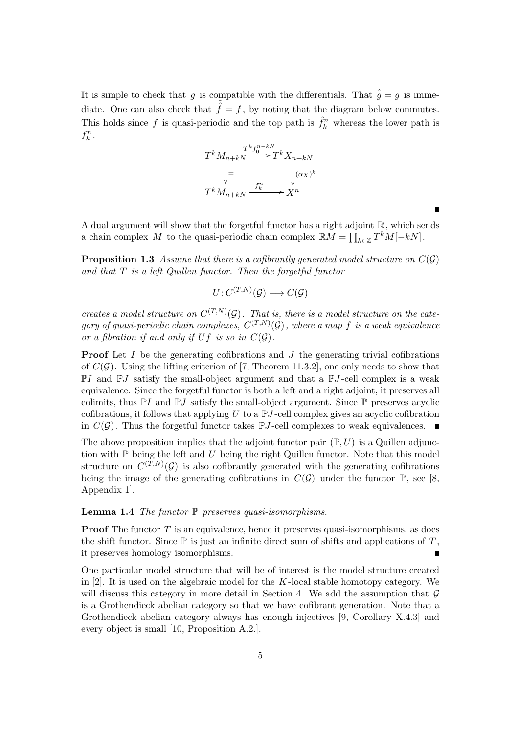It is simple to check that  $\tilde{g}$  is compatible with the differentials. That  $\hat{\tilde{g}} = g$  is immediate. One can also check that  $\tilde{\hat{f}} = f$ , by noting that the diagram below commutes. This holds since f is quasi-periodic and the top path is  $\tilde{f}_k^n$  whereas the lower path is  $f_k^n$ .



A dual argument will show that the forgetful functor has a right adjoint  $\mathbb{R}$ , which sends a chain complex M to the quasi-periodic chain complex  $\mathbb{R}M = \prod_{k \in \mathbb{Z}} T^k M[-k]$ .

**Proposition 1.3** Assume that there is a cofibrantly generated model structure on  $C(G)$ and that  $T$  is a left Quillen functor. Then the forgetful functor

$$
U: C^{(T,N)}(\mathcal{G}) \longrightarrow C(\mathcal{G})
$$

creates a model structure on  $C^{(T,N)}(\mathcal{G})$ . That is, there is a model structure on the category of quasi-periodic chain complexes,  $C^{(T,N)}(\mathcal{G})$ , where a map f is a weak equivalence or a fibration if and only if  $Uf$  is so in  $C(G)$ .

**Proof** Let  $I$  be the generating cofibrations and  $J$  the generating trivial cofibrations of  $C(G)$ . Using the lifting criterion of [7, Theorem 11.3.2], one only needs to show that  $\mathbb{P}I$  and  $\mathbb{P}J$  satisfy the small-object argument and that a  $\mathbb{P}J$ -cell complex is a weak equivalence. Since the forgetful functor is both a left and a right adjoint, it preserves all colimits, thus  $\mathbb{P}I$  and  $\mathbb{P}J$  satisfy the small-object argument. Since  $\mathbb{P}$  preserves acyclic cofibrations, it follows that applying  $U$  to a  $\mathbb{P}J$ -cell complex gives an acyclic cofibration in  $C(G)$ . Thus the forgetful functor takes PJ-cell complexes to weak equivalences.

The above proposition implies that the adjoint functor pair  $(\mathbb{P}, U)$  is a Quillen adjunction with  $\mathbb P$  being the left and  $U$  being the right Quillen functor. Note that this model structure on  $C^{(T,N)}(\mathcal{G})$  is also cofibrantly generated with the generating cofibrations being the image of the generating cofibrations in  $C(\mathcal{G})$  under the functor  $\mathbb{P}$ , see [8, Appendix 1].

**Lemma 1.4** The functor  $\mathbb P$  preserves quasi-isomorphisms.

**Proof** The functor  $T$  is an equivalence, hence it preserves quasi-isomorphisms, as does the shift functor. Since  $\mathbb P$  is just an infinite direct sum of shifts and applications of T, it preserves homology isomorphisms.

One particular model structure that will be of interest is the model structure created in  $[2]$ . It is used on the algebraic model for the K-local stable homotopy category. We will discuss this category in more detail in Section 4. We add the assumption that  $\mathcal G$ is a Grothendieck abelian category so that we have cofibrant generation. Note that a Grothendieck abelian category always has enough injectives [9, Corollary X.4.3] and every object is small [10, Proposition A.2.].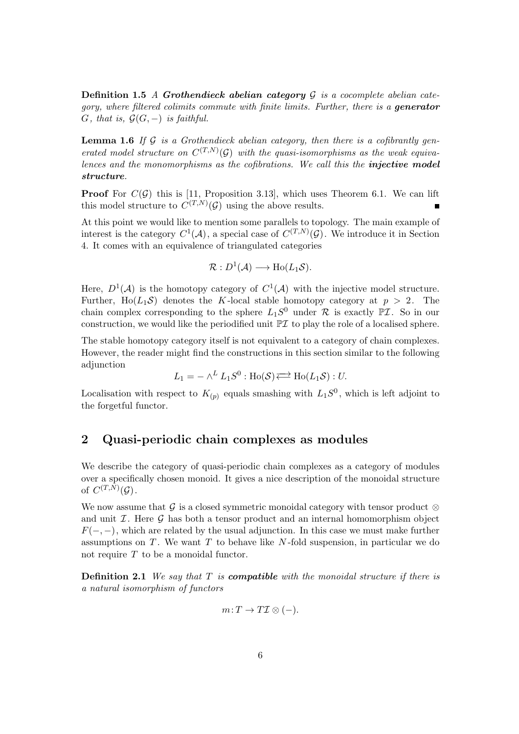**Definition 1.5** A Grothendieck abelian category  $\mathcal{G}$  is a cocomplete abelian category, where filtered colimits commute with finite limits. Further, there is a **generator**  $G$ , that is,  $\mathcal{G}(G, -)$  is faithful.

**Lemma 1.6** If  $\mathcal G$  is a Grothendieck abelian category, then there is a cofibrantly generated model structure on  $C^{(T,N)}(\mathcal{G})$  with the quasi-isomorphisms as the weak equivalences and the monomorphisms as the cofibrations. We call this the **injective model** structure.

**Proof** For  $C(G)$  this is [11, Proposition 3.13], which uses Theorem 6.1. We can lift this model structure to  $C^{(T,N)}(\mathcal{G})$  using the above results.

At this point we would like to mention some parallels to topology. The main example of interest is the category  $C^1(\mathcal{A})$ , a special case of  $C^{(T,N)}(\mathcal{G})$ . We introduce it in Section 4. It comes with an equivalence of triangulated categories

$$
\mathcal{R}: D^1(\mathcal{A}) \longrightarrow \text{Ho}(L_1\mathcal{S}).
$$

Here,  $D^1(\mathcal{A})$  is the homotopy category of  $C^1(\mathcal{A})$  with the injective model structure. Further, Ho( $L_1S$ ) denotes the K-local stable homotopy category at  $p > 2$ . The chain complex corresponding to the sphere  $L_1S^0$  under  $\mathcal R$  is exactly  $\mathbb P\mathcal I$ . So in our construction, we would like the periodified unit  $\mathbb{P} \mathcal{I}$  to play the role of a localised sphere.

The stable homotopy category itself is not equivalent to a category of chain complexes. However, the reader might find the constructions in this section similar to the following adjunction

$$
L_1 = - \wedge^L L_1 S^0 : \text{Ho}(\mathcal{S}) \rightleftarrows \text{Ho}(L_1 \mathcal{S}) : U.
$$

Localisation with respect to  $K_{(p)}$  equals smashing with  $L_1S^0$ , which is left adjoint to the forgetful functor.

# 2 Quasi-periodic chain complexes as modules

We describe the category of quasi-periodic chain complexes as a category of modules over a specifically chosen monoid. It gives a nice description of the monoidal structure of  $C^{(T,N)}(\mathcal{G})$ .

We now assume that G is a closed symmetric monoidal category with tensor product  $\otimes$ and unit  $I$ . Here  $\mathcal G$  has both a tensor product and an internal homomorphism object  $F(-,-)$ , which are related by the usual adjunction. In this case we must make further assumptions on  $T$ . We want  $T$  to behave like  $N$ -fold suspension, in particular we do not require  $T$  to be a monoidal functor.

**Definition 2.1** We say that  $T$  is **compatible** with the monoidal structure if there is a natural isomorphism of functors

$$
m: T \to T\mathcal{I} \otimes (-).
$$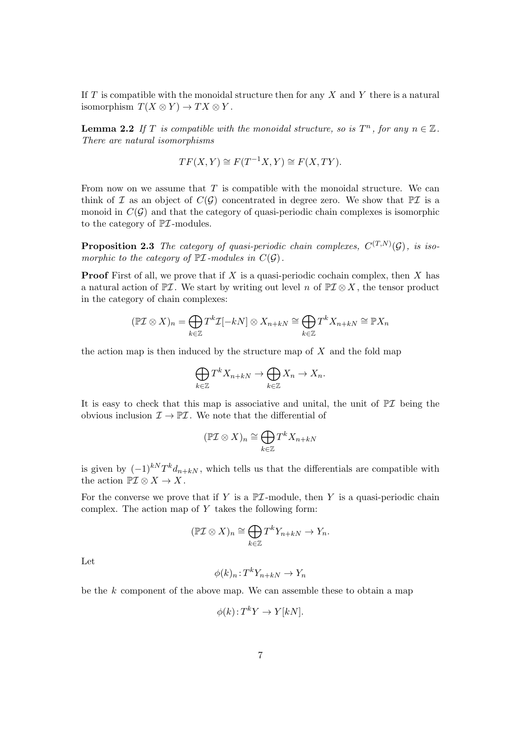If  $T$  is compatible with the monoidal structure then for any  $X$  and  $Y$  there is a natural isomorphism  $T(X \otimes Y) \to TX \otimes Y$ .

**Lemma 2.2** If T is compatible with the monoidal structure, so is  $T^n$ , for any  $n \in \mathbb{Z}$ . There are natural isomorphisms

$$
TF(X, Y) \cong F(T^{-1}X, Y) \cong F(X, TY).
$$

From now on we assume that  $T$  is compatible with the monoidal structure. We can think of  $\mathcal I$  as an object of  $C(\mathcal G)$  concentrated in degree zero. We show that  $\mathbb P\mathcal I$  is a monoid in  $C(G)$  and that the category of quasi-periodic chain complexes is isomorphic to the category of  $\mathbb{P} \mathcal{I}$ -modules.

**Proposition 2.3** The category of quasi-periodic chain complexes,  $C^{(T,N)}(\mathcal{G})$ , is isomorphic to the category of  $\mathbb{P} \mathcal{I}$ -modules in  $C(\mathcal{G})$ .

**Proof** First of all, we prove that if  $X$  is a quasi-periodic cochain complex, then  $X$  has a natural action of  $\mathbb{P}\mathcal{I}$ . We start by writing out level n of  $\mathbb{P}\mathcal{I}\otimes X$ , the tensor product in the category of chain complexes:

$$
(\mathbb{P}\mathcal{I}\otimes X)_n = \bigoplus_{k\in\mathbb{Z}} T^k \mathcal{I}[-kN] \otimes X_{n+kN} \cong \bigoplus_{k\in\mathbb{Z}} T^k X_{n+kN} \cong \mathbb{P}X_n
$$

the action map is then induced by the structure map of  $X$  and the fold map

$$
\bigoplus_{k\in\mathbb{Z}} T^k X_{n+kN} \to \bigoplus_{k\in\mathbb{Z}} X_n \to X_n.
$$

It is easy to check that this map is associative and unital, the unit of  $\mathbb{P} \mathcal{I}$  being the obvious inclusion  $\mathcal{I} \to \mathbb{P}\mathcal{I}$ . We note that the differential of

$$
(\mathbb{P}\mathcal{I}\otimes X)_n\cong \bigoplus_{k\in\mathbb{Z}}T^kX_{n+kN}
$$

is given by  $(-1)^{k} T^{k} d_{n+kN}$ , which tells us that the differentials are compatible with the action  $\mathbb{P} \mathcal{I} \otimes X \to X$ .

For the converse we prove that if Y is a  $\mathbb{P} \mathcal{I}$ -module, then Y is a quasi-periodic chain complex. The action map of  $Y$  takes the following form:

$$
(\mathbb{P}\mathcal{I}\otimes X)_n \cong \bigoplus_{k\in\mathbb{Z}} T^k Y_{n+kN} \to Y_n.
$$

Let

$$
\phi(k)_n : T^k Y_{n+kN} \to Y_n
$$

be the  $k$  component of the above map. We can assemble these to obtain a map

$$
\phi(k): T^k Y \to Y[kN].
$$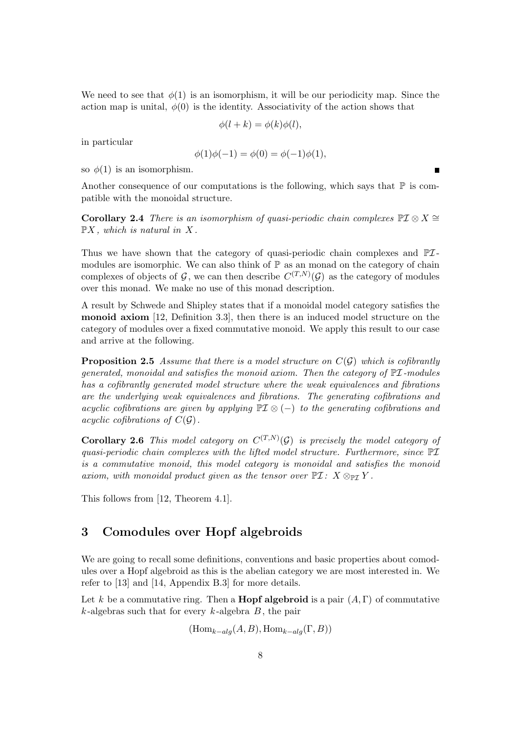We need to see that  $\phi(1)$  is an isomorphism, it will be our periodicity map. Since the action map is unital,  $\phi(0)$  is the identity. Associativity of the action shows that

$$
\phi(l+k) = \phi(k)\phi(l),
$$

in particular

$$
\phi(1)\phi(-1) = \phi(0) = \phi(-1)\phi(1),
$$

so  $\phi(1)$  is an isomorphism.

Another consequence of our computations is the following, which says that  $\mathbb P$  is compatible with the monoidal structure.

Corollary 2.4 There is an isomorphism of quasi-periodic chain complexes  $\mathbb{P} \mathcal{I} \otimes X \cong$  $\mathbb{P}X$ , which is natural in X.

Thus we have shown that the category of quasi-periodic chain complexes and  $\mathbb{P} \mathcal{I}$ modules are isomorphic. We can also think of  $\mathbb P$  as an monad on the category of chain complexes of objects of  $\mathcal{G}$ , we can then describe  $C^{(T,N)}(\mathcal{G})$  as the category of modules over this monad. We make no use of this monad description.

A result by Schwede and Shipley states that if a monoidal model category satisfies the monoid axiom [12, Definition 3.3], then there is an induced model structure on the category of modules over a fixed commutative monoid. We apply this result to our case and arrive at the following.

**Proposition 2.5** Assume that there is a model structure on  $C(G)$  which is cofibrantly generated, monoidal and satisfies the monoid axiom. Then the category of  $\mathbb{P} \mathcal{I}$ -modules has a cofibrantly generated model structure where the weak equivalences and fibrations are the underlying weak equivalences and fibrations. The generating cofibrations and acyclic cofibrations are given by applying  $\mathbb{P} \mathcal{I} \otimes (-)$  to the generating cofibrations and acyclic cofibrations of  $C(G)$ .

**Corollary 2.6** This model category on  $C^{(T,N)}(\mathcal{G})$  is precisely the model category of quasi-periodic chain complexes with the lifted model structure. Furthermore, since  $\mathbb{P} \mathcal{I}$ is a commutative monoid, this model category is monoidal and satisfies the monoid axiom, with monoidal product given as the tensor over  $\mathbb{P}\mathcal{I}: X \otimes_{\mathbb{P}\mathcal{I}} Y$ .

This follows from [12, Theorem 4.1].

# 3 Comodules over Hopf algebroids

We are going to recall some definitions, conventions and basic properties about comodules over a Hopf algebroid as this is the abelian category we are most interested in. We refer to [13] and [14, Appendix B.3] for more details.

Let k be a commutative ring. Then a **Hopf algebroid** is a pair  $(A, \Gamma)$  of commutative  $k$ -algebras such that for every  $k$ -algebra  $B$ , the pair

 $(\text{Hom}_{k-alg}(A, B), \text{Hom}_{k-alg}(\Gamma, B))$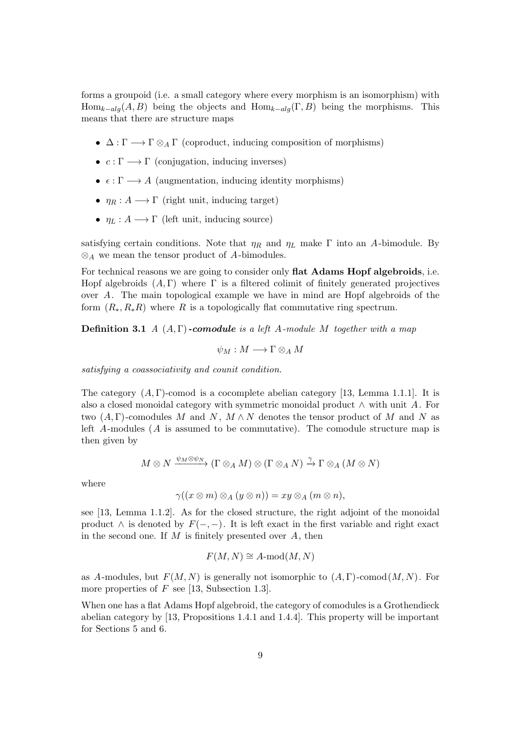forms a groupoid (i.e. a small category where every morphism is an isomorphism) with  $Hom_{k-alq}(A, B)$  being the objects and  $Hom_{k-alq}(\Gamma, B)$  being the morphisms. This means that there are structure maps

- $\Delta : \Gamma \longrightarrow \Gamma \otimes_A \Gamma$  (coproduct, inducing composition of morphisms)
- $c : \Gamma \longrightarrow \Gamma$  (conjugation, inducing inverses)
- $\epsilon : \Gamma \longrightarrow A$  (augmentation, inducing identity morphisms)
- $\eta_R : A \longrightarrow \Gamma$  (right unit, inducing target)
- $\eta_L : A \longrightarrow \Gamma$  (left unit, inducing source)

satisfying certain conditions. Note that  $\eta_R$  and  $\eta_L$  make  $\Gamma$  into an A-bimodule. By  $\otimes_A$  we mean the tensor product of A-bimodules.

For technical reasons we are going to consider only **flat Adams Hopf algebroids**, i.e. Hopf algebroids  $(A, \Gamma)$  where  $\Gamma$  is a filtered colimit of finitely generated projectives over A. The main topological example we have in mind are Hopf algebroids of the form  $(R_*, R_*R)$  where R is a topologically flat commutative ring spectrum.

**Definition 3.1** A  $(A, \Gamma)$ -comodule is a left A-module M together with a map

$$
\psi_M: M \longrightarrow \Gamma \otimes_A M
$$

satisfying a coassociativity and counit condition.

The category  $(A, \Gamma)$ -comod is a cocomplete abelian category [13, Lemma 1.1.1]. It is also a closed monoidal category with symmetric monoidal product  $\wedge$  with unit A. For two  $(A, \Gamma)$ -comodules M and N,  $M \wedge N$  denotes the tensor product of M and N as left  $A$ -modules  $(A$  is assumed to be commutative). The comodule structure map is then given by

$$
M\otimes N\xrightarrow{\psi_M\otimes\psi_N}(\Gamma\otimes_AM)\otimes(\Gamma\otimes_A N)\xrightarrow{\gamma}\Gamma\otimes_A(M\otimes N)
$$

where

$$
\gamma((x\otimes m)\otimes_A(y\otimes n))=xy\otimes_A(m\otimes n),
$$

see [13, Lemma 1.1.2]. As for the closed structure, the right adjoint of the monoidal product  $\wedge$  is denoted by  $F(-, -)$ . It is left exact in the first variable and right exact in the second one. If  $M$  is finitely presented over  $A$ , then

$$
F(M, N) \cong A\text{-mod}(M, N)
$$

as A-modules, but  $F(M, N)$  is generally not isomorphic to  $(A, \Gamma)$ -comod $(M, N)$ . For more properties of  $F$  see [13, Subsection 1.3].

When one has a flat Adams Hopf algebroid, the category of comodules is a Grothendieck abelian category by [13, Propositions 1.4.1 and 1.4.4]. This property will be important for Sections 5 and 6.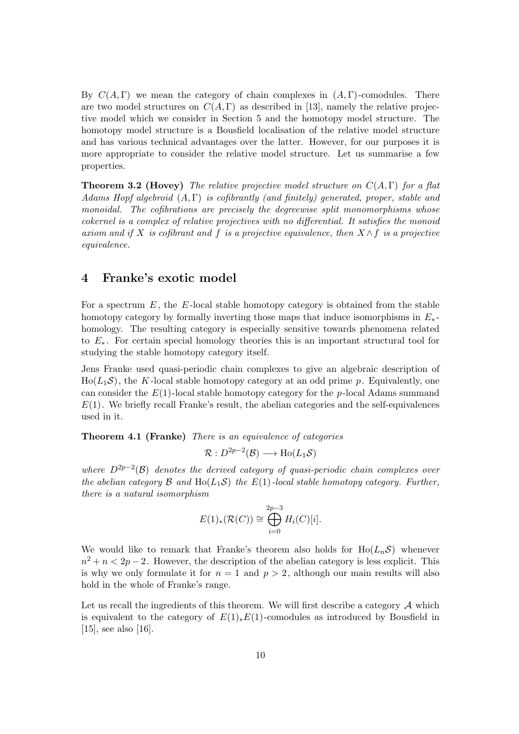By  $C(A, \Gamma)$  we mean the category of chain complexes in  $(A, \Gamma)$ -comodules. There are two model structures on  $C(A, \Gamma)$  as described in [13], namely the relative projective model which we consider in Section 5 and the homotopy model structure. The homotopy model structure is a Bousfield localisation of the relative model structure and has various technical advantages over the latter. However, for our purposes it is more appropriate to consider the relative model structure. Let us summarise a few properties.

**Theorem 3.2 (Hovey)** The relative projective model structure on  $C(A, \Gamma)$  for a flat Adams Hopf algebroid  $(A, \Gamma)$  is cofibrantly (and finitely) generated, proper, stable and monoidal. The cofibrations are precisely the degreewise split monomorphisms whose cokernel is a complex of relative projectives with no differential. It satisfies the monoid axiom and if X is cofibrant and f is a projective equivalence, then  $X \wedge f$  is a projective equivalence.

## 4 Franke's exotic model

For a spectrum  $E$ , the  $E$ -local stable homotopy category is obtained from the stable homotopy category by formally inverting those maps that induce isomorphisms in  $E_*$ homology. The resulting category is especially sensitive towards phenomena related to E<sup>∗</sup> . For certain special homology theories this is an important structural tool for studying the stable homotopy category itself.

Jens Franke used quasi-periodic chain complexes to give an algebraic description of  $H_0(L_1\mathcal{S})$ , the K-local stable homotopy category at an odd prime p. Equivalently, one can consider the  $E(1)$ -local stable homotopy category for the p-local Adams summand  $E(1)$ . We briefly recall Franke's result, the abelian categories and the self-equivalences used in it.

Theorem 4.1 (Franke) There is an equivalence of categories

$$
\mathcal{R}: D^{2p-2}(\mathcal{B}) \longrightarrow \text{Ho}(L_1\mathcal{S})
$$

where  $D^{2p-2}(\mathcal{B})$  denotes the derived category of quasi-periodic chain complexes over the abelian category  $\mathcal B$  and  $Ho(L_1\mathcal S)$  the  $E(1)$ -local stable homotopy category. Further, there is a natural isomorphism

$$
E(1)_*(\mathcal{R}(C)) \cong \bigoplus_{i=0}^{2p-3} H_i(C)[i].
$$

We would like to remark that Franke's theorem also holds for  $\text{Ho}(L_n\mathcal{S})$  whenever  $n^2 + n < 2p - 2$ . However, the description of the abelian category is less explicit. This is why we only formulate it for  $n = 1$  and  $p > 2$ , although our main results will also hold in the whole of Franke's range.

Let us recall the ingredients of this theorem. We will first describe a category  $A$  which is equivalent to the category of  $E(1)_*E(1)$ -comodules as introduced by Bousfield in [15], see also [16].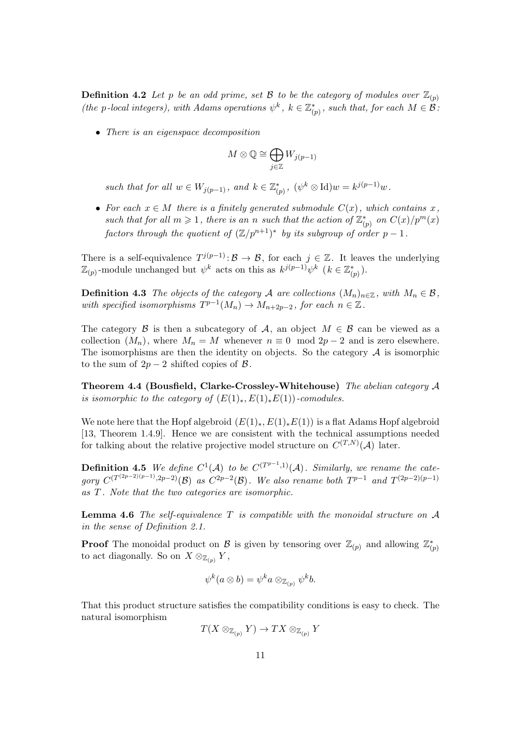**Definition 4.2** Let p be an odd prime, set B to be the category of modules over  $\mathbb{Z}_{(p)}$ (the p-local integers), with Adams operations  $\psi^k$ ,  $k \in \mathbb{Z}_{(p)}^*$ , such that, for each  $M \in \mathcal{B}$ :

• There is an eigenspace decomposition

$$
M\otimes\mathbb{Q}\cong\bigoplus_{j\in\mathbb{Z}}W_{j(p-1)}
$$

such that for all  $w \in W_{j(p-1)}$ , and  $k \in \mathbb{Z}_{(p)}^*$ ,  $(\psi^k \otimes \mathrm{Id})w = k^{j(p-1)}w$ .

• For each  $x \in M$  there is a finitely generated submodule  $C(x)$ , which contains x, such that for all  $m \geq 1$ , there is an n such that the action of  $\mathbb{Z}_{(p)}^*$  on  $C(x)/p^m(x)$ factors through the quotient of  $(\mathbb{Z}/p^{n+1})^*$  by its subgroup of order  $p-1$ .

There is a self-equivalence  $T^{j(p-1)} \colon \mathcal{B} \to \mathcal{B}$ , for each  $j \in \mathbb{Z}$ . It leaves the underlying  $\mathbb{Z}_{(p)}$ -module unchanged but  $\psi^k$  acts on this as  $k^{j(p-1)}\psi^k$   $(k \in \mathbb{Z}_{(p)}^*)$ .

**Definition 4.3** The objects of the category A are collections  $(M_n)_{n\in\mathbb{Z}}$ , with  $M_n \in \mathcal{B}$ , with specified isomorphisms  $T^{p-1}(M_n) \to M_{n+2p-2}$ , for each  $n \in \mathbb{Z}$ .

The category B is then a subcategory of A, an object  $M \in \mathcal{B}$  can be viewed as a collection  $(M_n)$ , where  $M_n = M$  whenever  $n \equiv 0 \mod 2p - 2$  and is zero elsewhere. The isomorphisms are then the identity on objects. So the category  $A$  is isomorphic to the sum of  $2p-2$  shifted copies of  $\beta$ .

Theorem 4.4 (Bousfield, Clarke-Crossley-Whitehouse) The abelian category A is isomorphic to the category of  $(E(1)_*, E(1)_*E(1))$ -comodules.

We note here that the Hopf algebroid  $(E(1)_*, E(1)_*E(1))$  is a flat Adams Hopf algebroid [13, Theorem 1.4.9]. Hence we are consistent with the technical assumptions needed for talking about the relative projective model structure on  $C^{(T,N)}(\mathcal{A})$  later.

**Definition 4.5** We define  $C^1(\mathcal{A})$  to be  $C^{(T^{p-1},1)}(\mathcal{A})$ . Similarly, we rename the category  $C^{(T^{(2p-2)(p-1)},2p-2)}(\mathcal{B})$  as  $C^{2p-2}(\mathcal{B})$ . We also rename both  $T^{p-1}$  and  $T^{(2p-2)(p-1)}$ as T . Note that the two categories are isomorphic.

**Lemma 4.6** The self-equivalence  $T$  is compatible with the monoidal structure on  $A$ in the sense of Definition 2.1.

**Proof** The monoidal product on  $\mathcal{B}$  is given by tensoring over  $\mathbb{Z}_{(p)}$  and allowing  $\mathbb{Z}_{(p)}^*$ to act diagonally. So on  $X \otimes_{\mathbb{Z}_{(p)}} Y$ ,

$$
\psi^k(a\otimes b)=\psi^ka\otimes_{\mathbb{Z}_{(p)}}\psi^kb.
$$

That this product structure satisfies the compatibility conditions is easy to check. The natural isomorphism

$$
T(X \otimes_{\mathbb{Z}_{(p)}} Y) \to TX \otimes_{\mathbb{Z}_{(p)}} Y
$$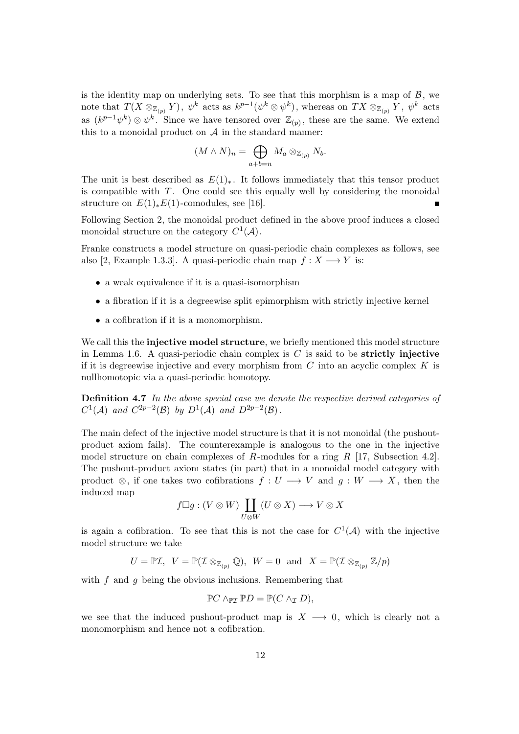is the identity map on underlying sets. To see that this morphism is a map of  $\beta$ , we note that  $T(X \otimes_{\mathbb{Z}_{(p)}} Y)$ ,  $\psi^k$  acts as  $k^{p-1}(\psi^k \otimes \psi^k)$ , whereas on  $TX \otimes_{\mathbb{Z}_{(p)}} Y$ ,  $\psi^k$  acts as  $(k^{p-1}\psi^k) \otimes \psi^k$ . Since we have tensored over  $\mathbb{Z}_{(p)}$ , these are the same. We extend this to a monoidal product on  $A$  in the standard manner:

$$
(M \wedge N)_n = \bigoplus_{a+b=n} M_a \otimes_{\mathbb{Z}_{(p)}} N_b.
$$

The unit is best described as  $E(1)_*$ . It follows immediately that this tensor product is compatible with  $T$ . One could see this equally well by considering the monoidal structure on  $E(1)_*E(1)$ -comodules, see [16].

Following Section 2, the monoidal product defined in the above proof induces a closed monoidal structure on the category  $C^1(\mathcal{A})$ .

Franke constructs a model structure on quasi-periodic chain complexes as follows, see also [2, Example 1.3.3]. A quasi-periodic chain map  $f: X \longrightarrow Y$  is:

- a weak equivalence if it is a quasi-isomorphism
- a fibration if it is a degreewise split epimorphism with strictly injective kernel
- a cofibration if it is a monomorphism.

We call this the **injective model structure**, we briefly mentioned this model structure in Lemma 1.6. A quasi-periodic chain complex is  $C$  is said to be **strictly injective** if it is degreewise injective and every morphism from  $C$  into an acyclic complex  $K$  is nullhomotopic via a quasi-periodic homotopy.

Definition 4.7 In the above special case we denote the respective derived categories of  $C^1(\mathcal{A})$  and  $C^{2p-2}(\mathcal{B})$  by  $D^1(\mathcal{A})$  and  $D^{2p-2}(\mathcal{B})$ .

The main defect of the injective model structure is that it is not monoidal (the pushoutproduct axiom fails). The counterexample is analogous to the one in the injective model structure on chain complexes of R-modules for a ring R [17, Subsection 4.2]. The pushout-product axiom states (in part) that in a monoidal model category with product  $\otimes$ , if one takes two cofibrations  $f: U \longrightarrow V$  and  $g: W \longrightarrow X$ , then the induced map

$$
f \Box g : (V \otimes W) \coprod_{U \otimes W} (U \otimes X) \longrightarrow V \otimes X
$$

is again a cofibration. To see that this is not the case for  $C^1(\mathcal{A})$  with the injective model structure we take

$$
U=\mathbb{P}\mathcal{I},\;\;V=\mathbb{P}(\mathcal{I}\otimes_{\mathbb{Z}_{(p)}}\mathbb{Q}),\;\;W=0\;\;\text{and}\;\;X=\mathbb{P}(\mathcal{I}\otimes_{\mathbb{Z}_{(p)}}\mathbb{Z}/p)
$$

with  $f$  and  $g$  being the obvious inclusions. Remembering that

$$
\mathbb{P}C \wedge_{\mathbb{P}\mathcal{I}} \mathbb{P}D = \mathbb{P}(C \wedge_{\mathcal{I}} D),
$$

we see that the induced pushout-product map is  $X \rightarrow 0$ , which is clearly not a monomorphism and hence not a cofibration.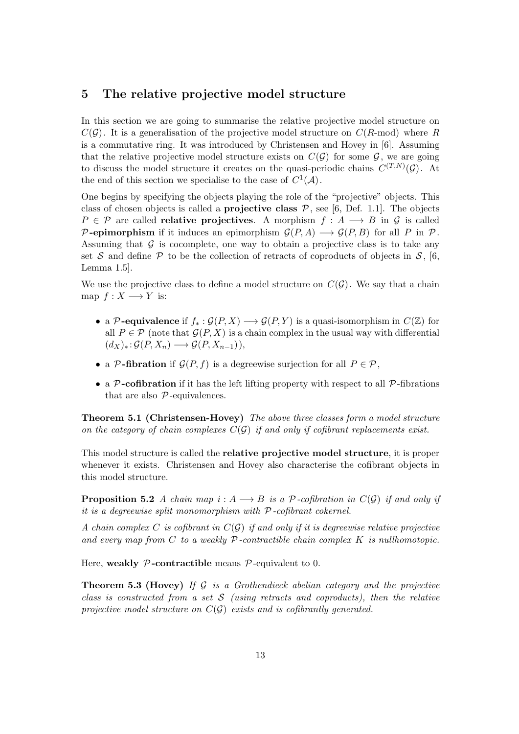## 5 The relative projective model structure

In this section we are going to summarise the relative projective model structure on  $C(G)$ . It is a generalisation of the projective model structure on  $C(R\text{-mod})$  where R is a commutative ring. It was introduced by Christensen and Hovey in [6]. Assuming that the relative projective model structure exists on  $C(G)$  for some G, we are going to discuss the model structure it creates on the quasi-periodic chains  $C^{(T,N)}(\mathcal{G})$ . At the end of this section we specialise to the case of  $C^1(\mathcal{A})$ .

One begins by specifying the objects playing the role of the "projective" objects. This class of chosen objects is called a **projective class**  $P$ , see [6, Def. 1.1]. The objects  $P \in \mathcal{P}$  are called **relative projectives**. A morphism  $f : A \longrightarrow B$  in  $\mathcal{G}$  is called P-epimorphism if it induces an epimorphism  $\mathcal{G}(P, A) \longrightarrow \mathcal{G}(P, B)$  for all P in P. Assuming that  $G$  is cocomplete, one way to obtain a projective class is to take any set S and define P to be the collection of retracts of coproducts of objects in S, [6, Lemma 1.5].

We use the projective class to define a model structure on  $C(\mathcal{G})$ . We say that a chain map  $f: X \longrightarrow Y$  is:

- a P-equivalence if  $f_* : \mathcal{G}(P, X) \longrightarrow \mathcal{G}(P, Y)$  is a quasi-isomorphism in  $C(\mathbb{Z})$  for all  $P \in \mathcal{P}$  (note that  $\mathcal{G}(P, X)$ ) is a chain complex in the usual way with differential  $(d_X)_* : \mathcal{G}(P, X_n) \longrightarrow \mathcal{G}(P, X_{n-1}),$
- a P-fibration if  $\mathcal{G}(P, f)$  is a degreewise surjection for all  $P \in \mathcal{P}$ ,
- a  $P$ -cofibration if it has the left lifting property with respect to all  $P$ -fibrations that are also  $P$ -equivalences.

Theorem 5.1 (Christensen-Hovey) The above three classes form a model structure on the category of chain complexes  $C(G)$  if and only if cofibrant replacements exist.

This model structure is called the relative projective model structure, it is proper whenever it exists. Christensen and Hovey also characterise the cofibrant objects in this model structure.

**Proposition 5.2** A chain map  $i : A \longrightarrow B$  is a P-cofibration in  $C(G)$  if and only if it is a degreewise split monomorphism with  $P$ -cofibrant cokernel.

A chain complex C is cofibrant in  $C(G)$  if and only if it is degreewise relative projective and every map from C to a weakly  $\mathcal P$ -contractible chain complex K is nullhomotopic.

Here, weakly  $P$ -contractible means  $P$ -equivalent to 0.

**Theorem 5.3 (Hovey)** If  $G$  is a Grothendieck abelian category and the projective class is constructed from a set  $S$  (using retracts and coproducts), then the relative projective model structure on  $C(G)$  exists and is cofibrantly generated.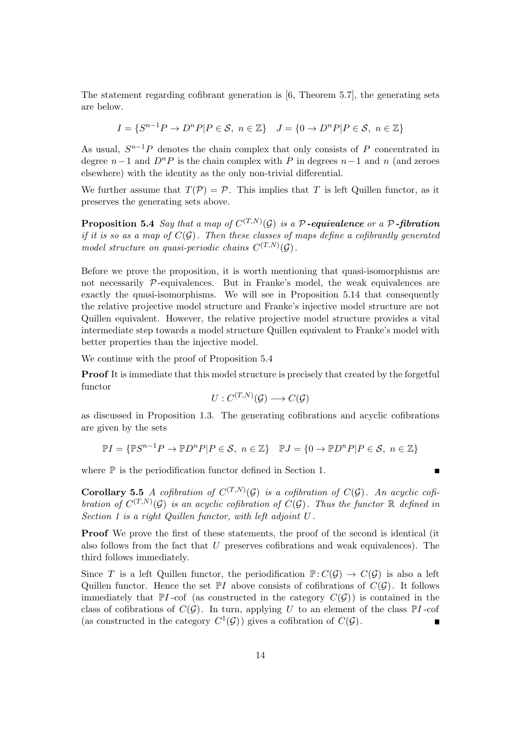The statement regarding cofibrant generation is [6, Theorem 5.7], the generating sets are below.

$$
I = \{S^{n-1}P \to D^nP|P \in \mathcal{S}, n \in \mathbb{Z}\} \quad J = \{0 \to D^nP|P \in \mathcal{S}, n \in \mathbb{Z}\}\
$$

As usual,  $S^{n-1}P$  denotes the chain complex that only consists of P concentrated in degree  $n-1$  and  $D<sup>n</sup>P$  is the chain complex with P in degrees  $n-1$  and n (and zeroes elsewhere) with the identity as the only non-trivial differential.

We further assume that  $T(\mathcal{P}) = \mathcal{P}$ . This implies that T is left Quillen functor, as it preserves the generating sets above.

**Proposition 5.4** Say that a map of  $C^{(T,N)}(\mathcal{G})$  is a P-equivalence or a P-fibration if it is so as a map of  $C(G)$ . Then these classes of maps define a cofibrantly generated model structure on quasi-periodic chains  $C^{(T,N)}(\mathcal{G})$ .

Before we prove the proposition, it is worth mentioning that quasi-isomorphisms are not necessarily  $\mathcal{P}$ -equivalences. But in Franke's model, the weak equivalences are exactly the quasi-isomorphisms. We will see in Proposition 5.14 that consequently the relative projective model structure and Franke's injective model structure are not Quillen equivalent. However, the relative projective model structure provides a vital intermediate step towards a model structure Quillen equivalent to Franke's model with better properties than the injective model.

We continue with the proof of Proposition 5.4

Proof It is immediate that this model structure is precisely that created by the forgetful functor

$$
U: C^{(T,N)}(\mathcal{G}) \longrightarrow C(\mathcal{G})
$$

as discussed in Proposition 1.3. The generating cofibrations and acyclic cofibrations are given by the sets

$$
\mathbb{P}I = \{ \mathbb{P}S^{n-1}P \to \mathbb{P}D^nP|P \in \mathcal{S}, n \in \mathbb{Z} \} \quad \mathbb{P}J = \{ 0 \to \mathbb{P}D^nP|P \in \mathcal{S}, n \in \mathbb{Z} \}
$$

 $\blacksquare$ 

where  $\mathbb P$  is the periodification functor defined in Section 1.

**Corollary 5.5** A cofibration of  $C^{(T,N)}(\mathcal{G})$  is a cofibration of  $C(\mathcal{G})$ . An acyclic cofibration of  $C^{(T,N)}(\mathcal{G})$  is an acyclic cofibration of  $C(\mathcal{G})$ . Thus the functor  $\mathbb R$  defined in Section 1 is a right Quillen functor, with left adjoint U .

Proof We prove the first of these statements, the proof of the second is identical (it also follows from the fact that U preserves cofibrations and weak equivalences). The third follows immediately.

Since T is a left Quillen functor, the periodification  $\mathbb{P}: C(\mathcal{G}) \to C(\mathcal{G})$  is also a left Quillen functor. Hence the set  $\mathbb{P}I$  above consists of cofibrations of  $C(\mathcal{G})$ . It follows immediately that  $\mathbb{P}I$ -cof (as constructed in the category  $C(\mathcal{G})$ ) is contained in the class of cofibrations of  $C(G)$ . In turn, applying U to an element of the class  $\mathbb{P}I$ -cof (as constructed in the category  $C^1(\mathcal{G})$ ) gives a cofibration of  $C(\mathcal{G})$ .  $\blacksquare$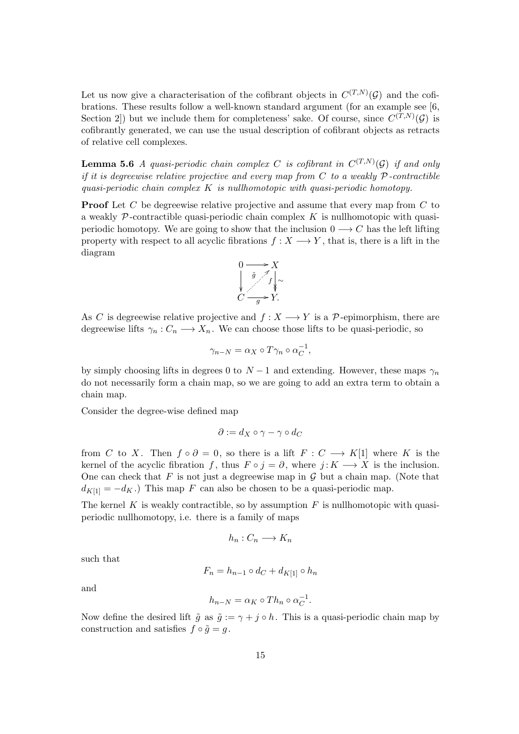Let us now give a characterisation of the cofibrant objects in  $C^{(T,N)}(\mathcal{G})$  and the cofibrations. These results follow a well-known standard argument (for an example see [6, Section 2) but we include them for completeness' sake. Of course, since  $C^{(T,N)}(\mathcal{G})$  is cofibrantly generated, we can use the usual description of cofibrant objects as retracts of relative cell complexes.

**Lemma 5.6** A quasi-periodic chain complex C is cofibrant in  $C^{(T,N)}(\mathcal{G})$  if and only if it is degreewise relative projective and every map from  $C$  to a weakly  $P$ -contractible quasi-periodic chain complex  $K$  is nullhomotopic with quasi-periodic homotopy.

**Proof** Let C be degreewise relative projective and assume that every map from C to a weakly  $\mathcal P$ -contractible quasi-periodic chain complex K is nullhomotopic with quasiperiodic homotopy. We are going to show that the inclusion  $0 \rightarrow C$  has the left lifting property with respect to all acyclic fibrations  $f : X \longrightarrow Y$ , that is, there is a lift in the diagram



As C is degreewise relative projective and  $f: X \longrightarrow Y$  is a P-epimorphism, there are degreewise lifts  $\gamma_n : C_n \longrightarrow X_n$ . We can choose those lifts to be quasi-periodic, so

$$
\gamma_{n-N} = \alpha_X \circ T\gamma_n \circ \alpha_C^{-1},
$$

by simply choosing lifts in degrees 0 to  $N-1$  and extending. However, these maps  $\gamma_n$ do not necessarily form a chain map, so we are going to add an extra term to obtain a chain map.

Consider the degree-wise defined map

$$
\partial := d_X \circ \gamma - \gamma \circ d_C
$$

from C to X. Then  $f \circ \partial = 0$ , so there is a lift  $F : C \longrightarrow K[1]$  where K is the kernel of the acyclic fibration f, thus  $F \circ j = \partial$ , where  $j: K \longrightarrow X$  is the inclusion. One can check that  $F$  is not just a degreewise map in  $\mathcal G$  but a chain map. (Note that  $d_{K[1]} = -d_K$ .) This map F can also be chosen to be a quasi-periodic map.

The kernel  $K$  is weakly contractible, so by assumption  $F$  is nullhomotopic with quasiperiodic nullhomotopy, i.e. there is a family of maps

$$
h_n:C_n\longrightarrow K_n
$$

such that

$$
F_n = h_{n-1} \circ d_C + d_{K[1]} \circ h_n
$$

and

$$
h_{n-N} = \alpha_K \circ Th_n \circ \alpha_C^{-1}.
$$

Now define the desired lift  $\tilde{g}$  as  $\tilde{g} := \gamma + j \circ h$ . This is a quasi-periodic chain map by construction and satisfies  $f \circ \tilde{q} = q$ .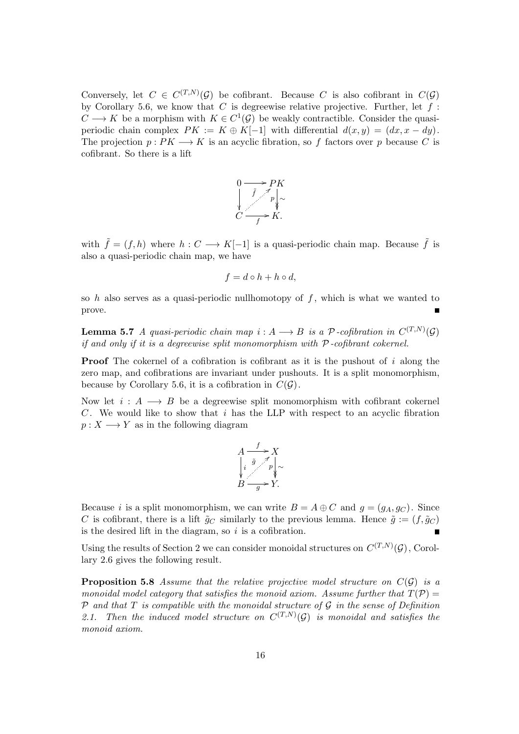Conversely, let  $C \in C^{(T,N)}(\mathcal{G})$  be cofibrant. Because C is also cofibrant in  $C(\mathcal{G})$ by Corollary 5.6, we know that  $C$  is degreewise relative projective. Further, let  $f$ :  $C \longrightarrow K$  be a morphism with  $K \in C^1(\mathcal{G})$  be weakly contractible. Consider the quasiperiodic chain complex  $PK := K \oplus K[-1]$  with differential  $d(x, y) = (dx, x - dy)$ . The projection  $p: PK \longrightarrow K$  is an acyclic fibration, so f factors over p because C is cofibrant. So there is a lift



with  $\tilde{f} = (f, h)$  where  $h : C \longrightarrow K[-1]$  is a quasi-periodic chain map. Because  $\tilde{f}$  is also a quasi-periodic chain map, we have

$$
f = d \circ h + h \circ d,
$$

so h also serves as a quasi-periodic nullhomotopy of  $f$ , which is what we wanted to prove.

**Lemma 5.7** A quasi-periodic chain map  $i: A \longrightarrow B$  is a  $P$ -cofibration in  $C^{(T,N)}(\mathcal{G})$ if and only if it is a degreewise split monomorphism with  $P$ -cofibrant cokernel.

**Proof** The cokernel of a cofibration is cofibrant as it is the pushout of i along the zero map, and cofibrations are invariant under pushouts. It is a split monomorphism, because by Corollary 5.6, it is a cofibration in  $C(G)$ .

Now let  $i : A \longrightarrow B$  be a degreewise split monomorphism with cofibrant cokernel C. We would like to show that i has the LLP with respect to an acyclic fibration  $p: X \longrightarrow Y$  as in the following diagram

$$
A \xrightarrow{f} X
$$
  
\n
$$
\downarrow i \overset{\tilde{g}}{\underset{g}{\bigvee}} \uparrow \uparrow
$$
  
\n
$$
B \xrightarrow{g} Y.
$$

Because i is a split monomorphism, we can write  $B = A \oplus C$  and  $g = (g_A, g_C)$ . Since C is cofibrant, there is a lift  $\tilde{g}_C$  similarly to the previous lemma. Hence  $\tilde{g} := (f, \tilde{g}_C)$ is the desired lift in the diagram, so  $i$  is a cofibration.  $\blacksquare$ 

Using the results of Section 2 we can consider monoidal structures on  $C^{(T,N)}(\mathcal{G})$ , Corollary 2.6 gives the following result.

**Proposition 5.8** Assume that the relative projective model structure on  $C(G)$  is a monoidal model category that satisfies the monoid axiom. Assume further that  $T(\mathcal{P}) =$  $P$  and that  $T$  is compatible with the monoidal structure of  $G$  in the sense of Definition 2.1. Then the induced model structure on  $C^{(T,N)}(\mathcal{G})$  is monoidal and satisfies the monoid axiom.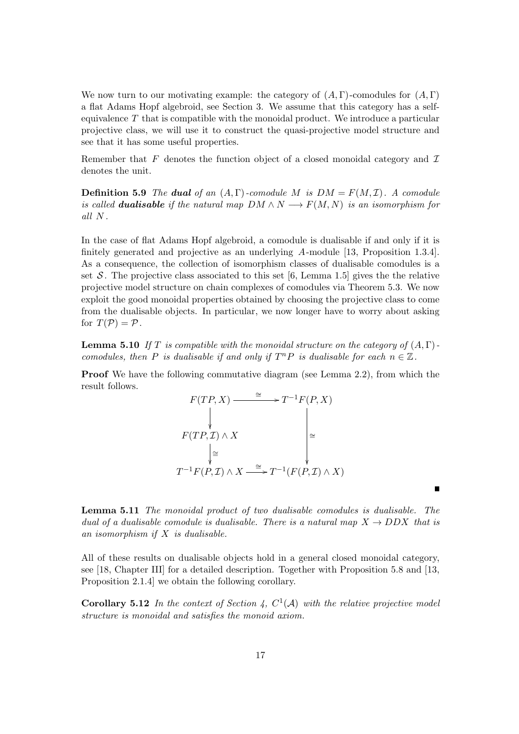We now turn to our motivating example: the category of  $(A, \Gamma)$ -comodules for  $(A, \Gamma)$ a flat Adams Hopf algebroid, see Section 3. We assume that this category has a selfequivalence  $T$  that is compatible with the monoidal product. We introduce a particular projective class, we will use it to construct the quasi-projective model structure and see that it has some useful properties.

Remember that F denotes the function object of a closed monoidal category and  $\mathcal I$ denotes the unit.

**Definition 5.9** The dual of an  $(A, \Gamma)$ -comodule M is  $DM = F(M, \mathcal{I})$ . A comodule is called **dualisable** if the natural map  $DM \wedge N \longrightarrow F(M, N)$  is an isomorphism for all N.

In the case of flat Adams Hopf algebroid, a comodule is dualisable if and only if it is finitely generated and projective as an underlying A-module [13, Proposition 1.3.4]. As a consequence, the collection of isomorphism classes of dualisable comodules is a set S. The projective class associated to this set [6, Lemma 1.5] gives the the relative projective model structure on chain complexes of comodules via Theorem 5.3. We now exploit the good monoidal properties obtained by choosing the projective class to come from the dualisable objects. In particular, we now longer have to worry about asking for  $T(\mathcal{P}) = \mathcal{P}$ .

**Lemma 5.10** If T is compatible with the monoidal structure on the category of  $(A, \Gamma)$ comodules, then P is dualisable if and only if  $T^n P$  is dualisable for each  $n \in \mathbb{Z}$ .

Proof We have the following commutative diagram (see Lemma 2.2), from which the result follows.



Lemma 5.11 The monoidal product of two dualisable comodules is dualisable. The dual of a dualisable comodule is dualisable. There is a natural map  $X \to DDX$  that is an isomorphism if  $X$  is dualisable.

 $\blacksquare$ 

All of these results on dualisable objects hold in a general closed monoidal category, see [18, Chapter III] for a detailed description. Together with Proposition 5.8 and [13, Proposition 2.1.4] we obtain the following corollary.

**Corollary 5.12** In the context of Section 4,  $C^1(\mathcal{A})$  with the relative projective model structure is monoidal and satisfies the monoid axiom.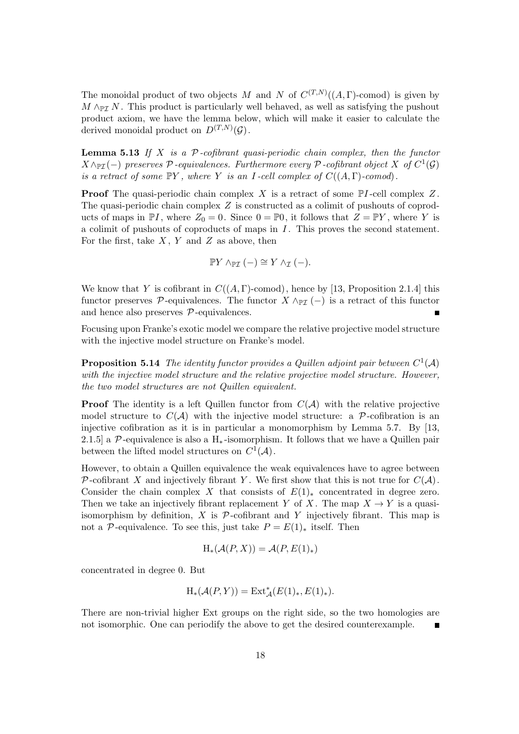The monoidal product of two objects M and N of  $C^{(T,N)}((A,\Gamma)$ -comod) is given by  $M \wedge_{\mathbb{P}I} N$ . This product is particularly well behaved, as well as satisfying the pushout product axiom, we have the lemma below, which will make it easier to calculate the derived monoidal product on  $D^{(T,N)}(\mathcal{G})$ .

**Lemma 5.13** If X is a  $P$ -cofibrant quasi-periodic chain complex, then the functor  $X \wedge_{\mathbb{P} \mathcal{I}} (-)$  preserves  $\mathcal{P}$ -equivalences. Furthermore every  $\mathcal{P}$ -cofibrant object  $X$  of  $C^1(\mathcal{G})$ is a retract of some  $\mathbb{P}Y$ , where Y is an I-cell complex of  $C((A, \Gamma)$ -comod).

**Proof** The quasi-periodic chain complex X is a retract of some  $\mathbb{P}I$ -cell complex Z. The quasi-periodic chain complex Z is constructed as a colimit of pushouts of coproducts of maps in  $\mathbb{P}I$ , where  $Z_0 = 0$ . Since  $0 = \mathbb{P}0$ , it follows that  $Z = \mathbb{P}Y$ , where Y is a colimit of pushouts of coproducts of maps in  $I$ . This proves the second statement. For the first, take  $X, Y$  and  $Z$  as above, then

$$
\mathbb{P}Y \wedge_{\mathbb{P}\mathcal{I}} (-) \cong Y \wedge_{\mathcal{I}} (-).
$$

We know that Y is cofibrant in  $C((A, \Gamma)$ -comod), hence by [13, Proposition 2.1.4] this functor preserves P-equivalences. The functor  $X \wedge_{\mathbb{P}^{\mathcal{T}}} (-)$  is a retract of this functor and hence also preserves  $P$ -equivalences.

Focusing upon Franke's exotic model we compare the relative projective model structure with the injective model structure on Franke's model.

**Proposition 5.14** The identity functor provides a Quillen adjoint pair between  $C^1(\mathcal{A})$ with the injective model structure and the relative projective model structure. However, the two model structures are not Quillen equivalent.

**Proof** The identity is a left Quillen functor from  $C(A)$  with the relative projective model structure to  $C(\mathcal{A})$  with the injective model structure: a P-cofibration is an injective cofibration as it is in particular a monomorphism by Lemma 5.7. By [13, 2.1.5] a P-equivalence is also a  $H_*$ -isomorphism. It follows that we have a Quillen pair between the lifted model structures on  $C^1(\mathcal{A})$ .

However, to obtain a Quillen equivalence the weak equivalences have to agree between P-cofibrant X and injectively fibrant Y. We first show that this is not true for  $C(\mathcal{A})$ . Consider the chain complex X that consists of  $E(1)_*$  concentrated in degree zero. Then we take an injectively fibrant replacement Y of X. The map  $X \to Y$  is a quasiisomorphism by definition, X is  $\mathcal P$ -cofibrant and Y injectively fibrant. This map is not a P-equivalence. To see this, just take  $P = E(1)_*$  itself. Then

$$
H_*(\mathcal{A}(P,X)) = \mathcal{A}(P,E(1)_*)
$$

concentrated in degree 0. But

$$
\mathrm{H}_*(\mathcal{A}(P,Y)) = \mathrm{Ext}^*_{\mathcal{A}}(E(1)_*, E(1)_*).
$$

There are non-trivial higher Ext groups on the right side, so the two homologies are not isomorphic. One can periodify the above to get the desired counterexample.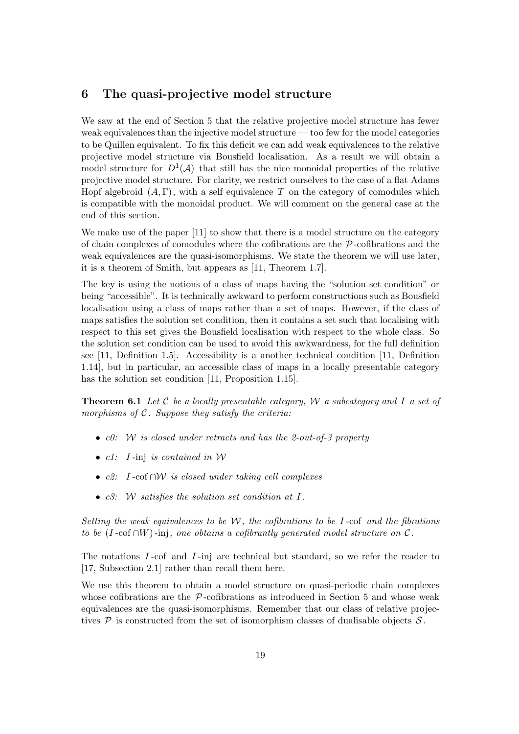## 6 The quasi-projective model structure

We saw at the end of Section 5 that the relative projective model structure has fewer weak equivalences than the injective model structure — too few for the model categories to be Quillen equivalent. To fix this deficit we can add weak equivalences to the relative projective model structure via Bousfield localisation. As a result we will obtain a model structure for  $D^1(\mathcal{A})$  that still has the nice monoidal properties of the relative projective model structure. For clarity, we restrict ourselves to the case of a flat Adams Hopf algebroid  $(A, \Gamma)$ , with a self equivalence T on the category of comodules which is compatible with the monoidal product. We will comment on the general case at the end of this section.

We make use of the paper [11] to show that there is a model structure on the category of chain complexes of comodules where the cofibrations are the  $P$ -cofibrations and the weak equivalences are the quasi-isomorphisms. We state the theorem we will use later, it is a theorem of Smith, but appears as [11, Theorem 1.7].

The key is using the notions of a class of maps having the "solution set condition" or being "accessible". It is technically awkward to perform constructions such as Bousfield localisation using a class of maps rather than a set of maps. However, if the class of maps satisfies the solution set condition, then it contains a set such that localising with respect to this set gives the Bousfield localisation with respect to the whole class. So the solution set condition can be used to avoid this awkwardness, for the full definition see [11, Definition 1.5]. Accessibility is a another technical condition [11, Definition 1.14], but in particular, an accessible class of maps in a locally presentable category has the solution set condition [11, Proposition 1.15].

**Theorem 6.1** Let C be a locally presentable category, W a subcategory and I a set of morphisms of  $C$ . Suppose they satisfy the criteria:

- $c0: W$  is closed under retracts and has the 2-out-of-3 property
- $c1: I$ -inj is contained in W
- c2: I -cof ∩W is closed under taking cell complexes
- $c3:$  W satisfies the solution set condition at I.

Setting the weak equivalences to be  $W$ , the cofibrations to be I-cof and the fibrations to be (I-cof ∩W)-inj, one obtains a cofibrantly generated model structure on  $\mathcal{C}$ .

The notations  $I$ -cof and  $I$ -inj are technical but standard, so we refer the reader to [17, Subsection 2.1] rather than recall them here.

We use this theorem to obtain a model structure on quasi-periodic chain complexes whose cofibrations are the  $\mathcal{P}$ -cofibrations as introduced in Section 5 and whose weak equivalences are the quasi-isomorphisms. Remember that our class of relative projectives  $P$  is constructed from the set of isomorphism classes of dualisable objects  $S$ .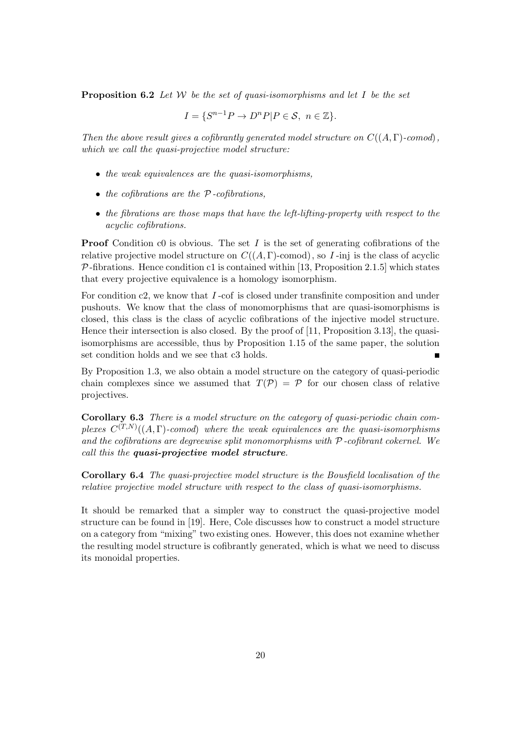**Proposition 6.2** Let W be the set of quasi-isomorphisms and let I be the set

$$
I = \{ S^{n-1}P \to D^nP | P \in \mathcal{S}, n \in \mathbb{Z} \}.
$$

Then the above result gives a cofibrantly generated model structure on  $C((A, \Gamma)$ -comod), which we call the quasi-projective model structure:

- the weak equivalences are the quasi-isomorphisms,
- $\bullet$  the cofibrations are the  $P$ -cofibrations,
- the fibrations are those maps that have the left-lifting-property with respect to the acyclic cofibrations.

**Proof** Condition c0 is obvious. The set I is the set of generating cofibrations of the relative projective model structure on  $C((A, \Gamma)$ -comod), so I-inj is the class of acyclic  $P$ -fibrations. Hence condition c1 is contained within [13, Proposition 2.1.5] which states that every projective equivalence is a homology isomorphism.

For condition c2, we know that I-cof is closed under transfinite composition and under pushouts. We know that the class of monomorphisms that are quasi-isomorphisms is closed, this class is the class of acyclic cofibrations of the injective model structure. Hence their intersection is also closed. By the proof of [11, Proposition 3.13], the quasiisomorphisms are accessible, thus by Proposition 1.15 of the same paper, the solution set condition holds and we see that c3 holds.

By Proposition 1.3, we also obtain a model structure on the category of quasi-periodic chain complexes since we assumed that  $T(\mathcal{P}) = \mathcal{P}$  for our chosen class of relative projectives.

Corollary 6.3 There is a model structure on the category of quasi-periodic chain complexes  $C^{(T,N)}((A,\Gamma)$ -comod) where the weak equivalences are the quasi-isomorphisms and the cofibrations are degreewise split monomorphisms with  $P$ -cofibrant cokernel. We call this the quasi-projective model structure.

Corollary 6.4 The quasi-projective model structure is the Bousfield localisation of the relative projective model structure with respect to the class of quasi-isomorphisms.

It should be remarked that a simpler way to construct the quasi-projective model structure can be found in [19]. Here, Cole discusses how to construct a model structure on a category from "mixing" two existing ones. However, this does not examine whether the resulting model structure is cofibrantly generated, which is what we need to discuss its monoidal properties.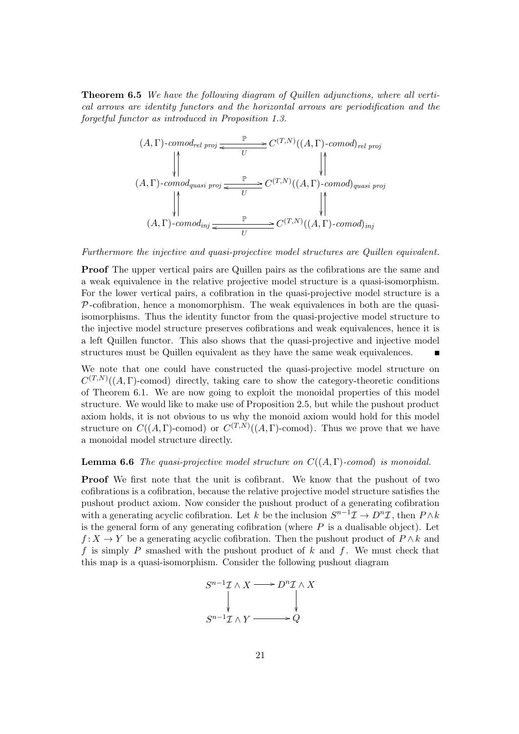Theorem 6.5 We have the following diagram of Quillen adjunctions, where all vertical arrows are identity functors and the horizontal arrows are periodification and the forgetful functor as introduced in Proposition 1.3.

$$
(A, \Gamma)\text{-}comod_{rel\;proj} \xrightarrow{V} C^{(T,N)}((A, \Gamma)\text{-}comod)_{rel\;proj}
$$
\n
$$
(A, \Gamma)\text{-}comod_{quasi\;proj} \xrightarrow{V} C^{(T,N)}((A, \Gamma)\text{-}comod)_{quasi\;proj}
$$
\n
$$
\downarrow^{\uparrow}
$$
\n
$$
(A, \Gamma)\text{-}comod_{inj} \xrightarrow{V} C^{(T,N)}((A, \Gamma)\text{-}comod)_{inj}
$$

Furthermore the injective and quasi-projective model structures are Quillen equivalent.

Proof The upper vertical pairs are Quillen pairs as the cofibrations are the same and a weak equivalence in the relative projective model structure is a quasi-isomorphism. For the lower vertical pairs, a cofibration in the quasi-projective model structure is a  $P$ -cofibration, hence a monomorphism. The weak equivalences in both are the quasiisomorphisms. Thus the identity functor from the quasi-projective model structure to the injective model structure preserves cofibrations and weak equivalences, hence it is a left Quillen functor. This also shows that the quasi-projective and injective model structures must be Quillen equivalent as they have the same weak equivalences.  $\blacksquare$ 

We note that one could have constructed the quasi-projective model structure on  $C^{(T,N)}((A,\Gamma)$ -comod) directly, taking care to show the category-theoretic conditions of Theorem 6.1. We are now going to exploit the monoidal properties of this model structure. We would like to make use of Proposition 2.5, but while the pushout product axiom holds, it is not obvious to us why the monoid axiom would hold for this model structure on  $C((A, \Gamma)$ -comod) or  $C^{(T,N)}((A, \Gamma)$ -comod). Thus we prove that we have a monoidal model structure directly.

#### **Lemma 6.6** The quasi-projective model structure on  $C((A, \Gamma)$ -comod) is monoidal.

Proof We first note that the unit is cofibrant. We know that the pushout of two cofibrations is a cofibration, because the relative projective model structure satisfies the pushout product axiom. Now consider the pushout product of a generating cofibration with a generating acyclic cofibration. Let k be the inclusion  $S^{n-1}\mathcal{I} \to D^n\mathcal{I}$ , then  $P \wedge k$ is the general form of any generating cofibration (where  $P$  is a dualisable object). Let  $f: X \to Y$  be a generating acyclic cofibration. Then the pushout product of  $P \wedge k$  and f is simply P smashed with the pushout product of k and f. We must check that this map is a quasi-isomorphism. Consider the following pushout diagram

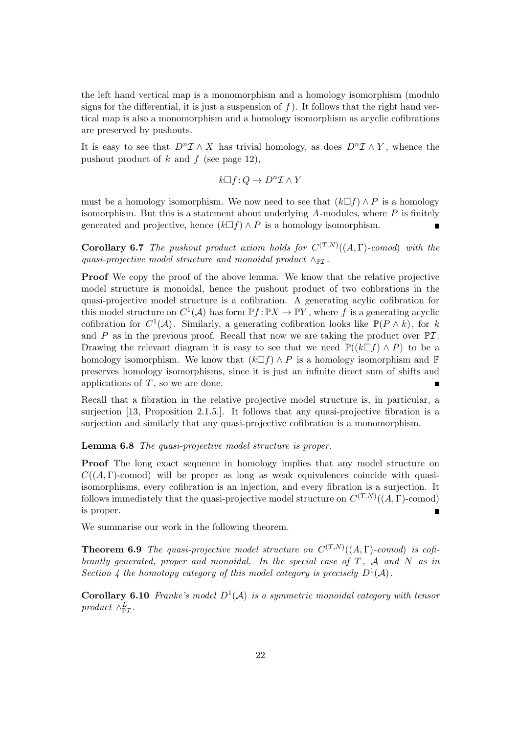the left hand vertical map is a monomorphism and a homology isomorphism (modulo signs for the differential, it is just a suspension of  $f$ ). It follows that the right hand vertical map is also a monomorphism and a homology isomorphism as acyclic cofibrations are preserved by pushouts.

It is easy to see that  $D^n\mathcal{I} \wedge X$  has trivial homology, as does  $D^n\mathcal{I} \wedge Y$ , whence the pushout product of k and f (see page 12),

$$
k \square f\!:\! Q \to D^n\mathcal{I} \wedge Y
$$

must be a homology isomorphism. We now need to see that  $(k\Box f) \wedge P$  is a homology isomorphism. But this is a statement about underlying  $A$ -modules, where  $P$  is finitely generated and projective, hence  $(k\Box f) \wedge P$  is a homology isomorphism.

**Corollary 6.7** The pushout product axiom holds for  $C^{(T,N)}((A,\Gamma)$ -comod) with the quasi-projective model structure and monoidal product  $\wedge_{\mathbb{P}7}$ .

Proof We copy the proof of the above lemma. We know that the relative projective model structure is monoidal, hence the pushout product of two cofibrations in the quasi-projective model structure is a cofibration. A generating acylic cofibration for this model structure on  $C^1(\mathcal{A})$  has form  $\mathbb{P}f : \mathbb{P}X \to \mathbb{P}Y$ , where f is a generating acyclic cofibration for  $C^1(\mathcal{A})$ . Similarly, a generating cofibration looks like  $\mathbb{P}(P \wedge k)$ , for k and P as in the previous proof. Recall that now we are taking the product over  $\mathbb{P} \mathcal{I}$ . Drawing the relevant diagram it is easy to see that we need  $\mathbb{P}((k\Box f) \land P)$  to be a homology isomorphism. We know that  $(k\Box f) \wedge P$  is a homology isomorphism and  $\mathbb P$ preserves homology isomorphisms, since it is just an infinite direct sum of shifts and applications of  $T$ , so we are done.

Recall that a fibration in the relative projective model structure is, in particular, a surjection [13, Proposition 2.1.5.]. It follows that any quasi-projective fibration is a surjection and similarly that any quasi-projective cofibration is a monomorphism.

Lemma 6.8 The quasi-projective model structure is proper.

Proof The long exact sequence in homology implies that any model structure on  $C((A, \Gamma)$ -comod) will be proper as long as weak equivalences coincide with quasiisomorphisms, every cofibration is an injection, and every fibration is a surjection. It follows immediately that the quasi-projective model structure on  $C^{(T,N)}((A,\Gamma)\text{-comod})$ is proper.  $\blacksquare$ 

We summarise our work in the following theorem.

**Theorem 6.9** The quasi-projective model structure on  $C^{(T,N)}((A,\Gamma)$ -comod) is cofibrantly generated, proper and monoidal. In the special case of  $T$ ,  $A$  and  $N$  as in Section 4 the homotopy category of this model category is precisely  $D^1(\mathcal{A})$ .

**Corollary 6.10** Franke's model  $D^1(A)$  is a symmetric monoidal category with tensor product  $\wedge^L_{\mathbb{P}\mathcal{I}}$ .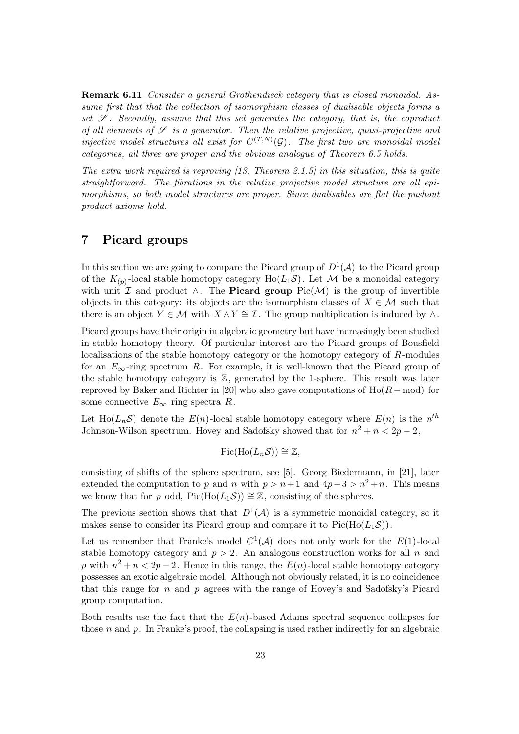Remark 6.11 Consider a general Grothendieck category that is closed monoidal. Assume first that that the collection of isomorphism classes of dualisable objects forms a set  $\mathscr{S}$ . Secondly, assume that this set generates the category, that is, the coproduct of all elements of  $\mathscr S$  is a generator. Then the relative projective, quasi-projective and injective model structures all exist for  $C^{(T,N)}(\mathcal{G})$ . The first two are monoidal model categories, all three are proper and the obvious analogue of Theorem 6.5 holds.

The extra work required is reproving  $(13,$  Theorem 2.1.5] in this situation, this is quite straightforward. The fibrations in the relative projective model structure are all epimorphisms, so both model structures are proper. Since dualisables are flat the pushout product axioms hold.

## 7 Picard groups

In this section we are going to compare the Picard group of  $D^1(\mathcal{A})$  to the Picard group of the  $K_{(p)}$ -local stable homotopy category  $Ho(L_1\mathcal{S})$ . Let  $\mathcal M$  be a monoidal category with unit  $\mathcal I$  and product  $\wedge$ . The **Picard group** Pic( $\mathcal M$ ) is the group of invertible objects in this category: its objects are the isomorphism classes of  $X \in \mathcal{M}$  such that there is an object  $Y \in \mathcal{M}$  with  $X \wedge Y \cong \mathcal{I}$ . The group multiplication is induced by  $\wedge$ .

Picard groups have their origin in algebraic geometry but have increasingly been studied in stable homotopy theory. Of particular interest are the Picard groups of Bousfield localisations of the stable homotopy category or the homotopy category of R-modules for an  $E_{\infty}$ -ring spectrum R. For example, it is well-known that the Picard group of the stable homotopy category is  $\mathbb{Z}$ , generated by the 1-sphere. This result was later reproved by Baker and Richter in [20] who also gave computations of  $Ho(R - mod)$  for some connective  $E_{\infty}$  ring spectra R.

Let  $\text{Ho}(L_n\mathcal{S})$  denote the  $E(n)$ -local stable homotopy category where  $E(n)$  is the  $n^{th}$ Johnson-Wilson spectrum. Hovey and Sadofsky showed that for  $n^2 + n < 2p - 2$ ,

$$
Pic(Ho(L_n\mathcal{S}))\cong \mathbb{Z},
$$

consisting of shifts of the sphere spectrum, see [5]. Georg Biedermann, in [21], later extended the computation to p and n with  $p > n+1$  and  $4p-3 > n^2+n$ . This means we know that for p odd, Pic(Ho( $L_1S$ )) ≅ Z, consisting of the spheres.

The previous section shows that that  $D^1(\mathcal{A})$  is a symmetric monoidal category, so it makes sense to consider its Picard group and compare it to  $Pic(H_0(L_1\mathcal{S}))$ .

Let us remember that Franke's model  $C^1(\mathcal{A})$  does not only work for the  $E(1)$ -local stable homotopy category and  $p > 2$ . An analogous construction works for all n and p with  $n^2 + n < 2p - 2$ . Hence in this range, the  $E(n)$ -local stable homotopy category possesses an exotic algebraic model. Although not obviously related, it is no coincidence that this range for n and p agrees with the range of Hovey's and Sadofsky's Picard group computation.

Both results use the fact that the  $E(n)$ -based Adams spectral sequence collapses for those n and p. In Franke's proof, the collapsing is used rather indirectly for an algebraic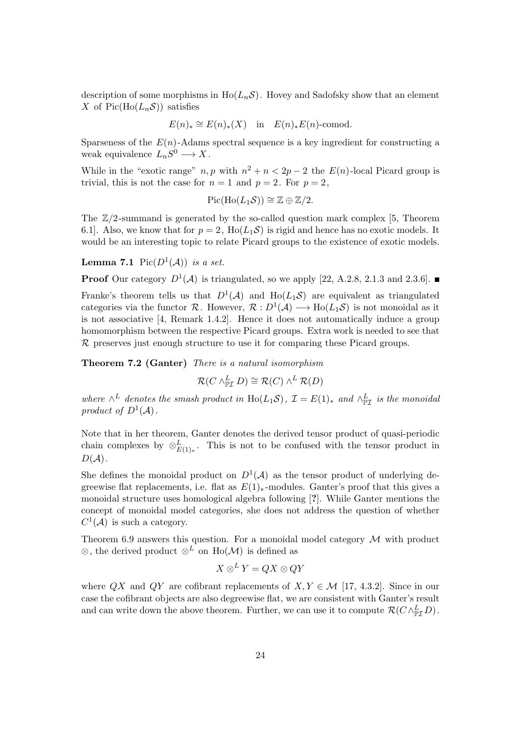description of some morphisms in  $Ho(L_n\mathcal{S})$ . Hovey and Sadofsky show that an element X of Pic(Ho( $L_nS$ ) satisfies

$$
E(n)_* \cong E(n)_*(X)
$$
 in  $E(n)_*E(n)$ -comod.

Sparseness of the  $E(n)$ -Adams spectral sequence is a key ingredient for constructing a weak equivalence  $L_nS^0 \longrightarrow X$ .

While in the "exotic range"  $n, p$  with  $n^2 + n < 2p - 2$  the  $E(n)$ -local Picard group is trivial, this is not the case for  $n = 1$  and  $p = 2$ . For  $p = 2$ ,

$$
Pic(Ho(L_1\mathcal{S})) \cong \mathbb{Z} \oplus \mathbb{Z}/2.
$$

The  $\mathbb{Z}/2$ -summand is generated by the so-called question mark complex [5, Theorem 6.1. Also, we know that for  $p = 2$ ,  $Ho(L_1S)$  is rigid and hence has no exotic models. It would be an interesting topic to relate Picard groups to the existence of exotic models.

**Lemma 7.1** Pic $(D^1(\mathcal{A}))$  is a set.

**Proof** Our category  $D^1(A)$  is triangulated, so we apply [22, A.2.8, 2.1.3 and 2.3.6].

Franke's theorem tells us that  $D^1(\mathcal{A})$  and  $Ho(L_1\mathcal{S})$  are equivalent as triangulated categories via the functor R. However,  $\mathcal{R}: D^1(\mathcal{A}) \longrightarrow Ho(L_1\mathcal{S})$  is not monoidal as it is not associative [4, Remark 1.4.2]. Hence it does not automatically induce a group homomorphism between the respective Picard groups. Extra work is needed to see that  $\mathcal R$  preserves just enough structure to use it for comparing these Picard groups.

Theorem 7.2 (Ganter) There is a natural isomorphism

$$
\mathcal{R}(C \wedge^L_{\mathbb{P}\mathcal{I}} D) \cong \mathcal{R}(C) \wedge^L \mathcal{R}(D)
$$

where  $\wedge^L$  denotes the smash product in Ho(L<sub>1</sub>S),  $\mathcal{I} = E(1)_*$  and  $\wedge^L_{\mathbb{P}\mathcal{I}}$  is the monoidal product of  $D^1(\mathcal{A})$ .

Note that in her theorem, Ganter denotes the derived tensor product of quasi-periodic chain complexes by  $\otimes_{E(1)*}^L$ . This is not to be confused with the tensor product in  $D(A)$ .

She defines the monoidal product on  $D^1(\mathcal{A})$  as the tensor product of underlying degreewise flat replacements, i.e. flat as  $E(1)_*$ -modules. Ganter's proof that this gives a monoidal structure uses homological algebra following [?]. While Ganter mentions the concept of monoidal model categories, she does not address the question of whether  $C^1(\mathcal{A})$  is such a category.

Theorem 6.9 answers this question. For a monoidal model category  $\mathcal M$  with product ⊗, the derived product  $\otimes^{\vec{L}}$  on Ho(M) is defined as

$$
X\otimes^LY=QX\otimes QY
$$

where QX and QY are cofibrant replacements of  $X, Y \in \mathcal{M}$  [17, 4.3.2]. Since in our case the cofibrant objects are also degreewise flat, we are consistent with Ganter's result and can write down the above theorem. Further, we can use it to compute  $\mathcal{R}(C \wedge^L_{\mathbb{P}\mathcal{I}} D)$ .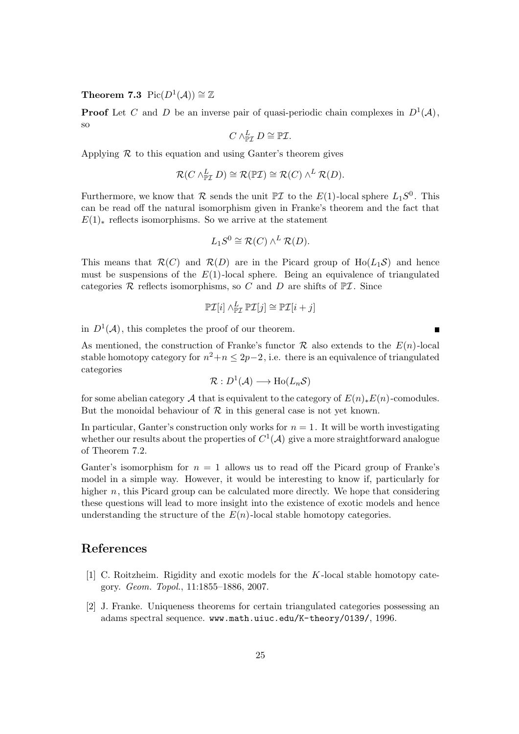Theorem 7.3  $Pic(D^1(\mathcal{A})) \cong \mathbb{Z}$ 

**Proof** Let C and D be an inverse pair of quasi-periodic chain complexes in  $D^1(\mathcal{A})$ , so

$$
C \wedge^L_{\mathbb{P}\mathcal{I}} D \cong \mathbb{P}\mathcal{I}.
$$

Applying  $\mathcal R$  to this equation and using Ganter's theorem gives

$$
\mathcal{R}(C \wedge^L_{\mathbb{P}\mathcal{I}} D) \cong \mathcal{R}(\mathbb{P}\mathcal{I}) \cong \mathcal{R}(C) \wedge^L \mathcal{R}(D).
$$

Furthermore, we know that  $\mathcal R$  sends the unit  $\mathbb P\mathcal I$  to the  $E(1)$ -local sphere  $L_1S^0$ . This can be read off the natural isomorphism given in Franke's theorem and the fact that  $E(1)_*$  reflects isomorphisms. So we arrive at the statement

$$
L_1S^0 \cong \mathcal{R}(C) \wedge^L \mathcal{R}(D).
$$

This means that  $\mathcal{R}(C)$  and  $\mathcal{R}(D)$  are in the Picard group of Ho( $L_1\mathcal{S}$ ) and hence must be suspensions of the  $E(1)$ -local sphere. Being an equivalence of triangulated categories  $R$  reflects isomorphisms, so C and D are shifts of  $\mathbb{P} \mathcal{I}$ . Since

$$
\mathbb{P}\mathcal{I}[i] \wedge^L_{\mathbb{P}\mathcal{I}} \mathbb{P}\mathcal{I}[j] \cong \mathbb{P}\mathcal{I}[i+j]
$$

 $\blacksquare$ 

in  $D^1(\mathcal{A})$ , this completes the proof of our theorem.

As mentioned, the construction of Franke's functor  $\mathcal R$  also extends to the  $E(n)$ -local stable homotopy category for  $n^2+n \leq 2p-2$ , i.e. there is an equivalence of triangulated categories

$$
\mathcal{R}: D^1(\mathcal{A}) \longrightarrow Ho(L_n\mathcal{S})
$$

for some abelian category A that is equivalent to the category of  $E(n)_*E(n)$ -comodules. But the monoidal behaviour of  $\mathcal R$  in this general case is not yet known.

In particular, Ganter's construction only works for  $n = 1$ . It will be worth investigating whether our results about the properties of  $C^1(\mathcal{A})$  give a more straightforward analogue of Theorem 7.2.

Ganter's isomorphism for  $n = 1$  allows us to read off the Picard group of Franke's model in a simple way. However, it would be interesting to know if, particularly for higher n, this Picard group can be calculated more directly. We hope that considering these questions will lead to more insight into the existence of exotic models and hence understanding the structure of the  $E(n)$ -local stable homotopy categories.

# References

- [1] C. Roitzheim. Rigidity and exotic models for the K -local stable homotopy category. Geom. Topol., 11:1855–1886, 2007.
- [2] J. Franke. Uniqueness theorems for certain triangulated categories possessing an adams spectral sequence. www.math.uiuc.edu/K-theory/0139/, 1996.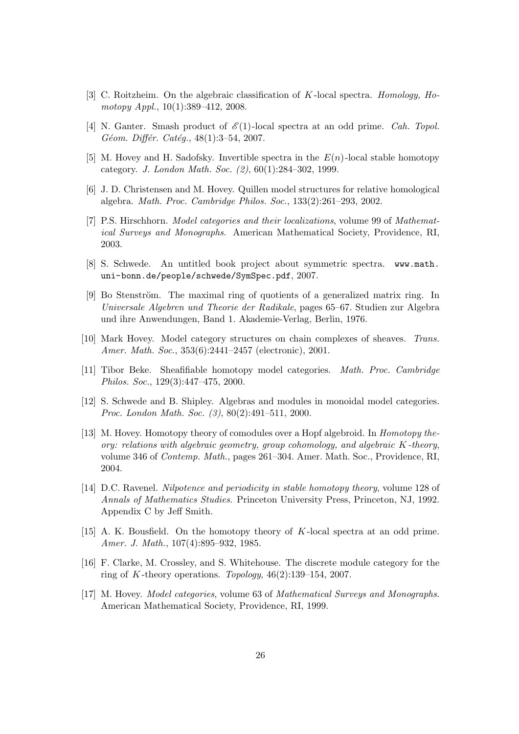- [3] C. Roitzheim. On the algebraic classification of K -local spectra. Homology, Homotopy Appl., 10(1):389–412, 2008.
- [4] N. Ganter. Smash product of  $\mathcal{E}(1)$ -local spectra at an odd prime. *Cah. Topol.* Géom. Différ. Catég.,  $48(1):3-54$ , 2007.
- [5] M. Hovey and H. Sadofsky. Invertible spectra in the  $E(n)$ -local stable homotopy category. J. London Math. Soc. (2), 60(1):284–302, 1999.
- [6] J. D. Christensen and M. Hovey. Quillen model structures for relative homological algebra. Math. Proc. Cambridge Philos. Soc., 133(2):261–293, 2002.
- [7] P.S. Hirschhorn. Model categories and their localizations, volume 99 of Mathematical Surveys and Monographs. American Mathematical Society, Providence, RI, 2003.
- [8] S. Schwede. An untitled book project about symmetric spectra. www.math. uni-bonn.de/people/schwede/SymSpec.pdf, 2007.
- [9] Bo Stenström. The maximal ring of quotients of a generalized matrix ring. In Universale Algebren und Theorie der Radikale, pages 65–67. Studien zur Algebra und ihre Anwendungen, Band 1. Akademie-Verlag, Berlin, 1976.
- [10] Mark Hovey. Model category structures on chain complexes of sheaves. Trans. Amer. Math. Soc., 353(6):2441–2457 (electronic), 2001.
- [11] Tibor Beke. Sheafifiable homotopy model categories. Math. Proc. Cambridge Philos. Soc., 129(3):447–475, 2000.
- [12] S. Schwede and B. Shipley. Algebras and modules in monoidal model categories. Proc. London Math. Soc. (3), 80(2):491–511, 2000.
- [13] M. Hovey. Homotopy theory of comodules over a Hopf algebroid. In Homotopy theory: relations with algebraic geometry, group cohomology, and algebraic  $K$ -theory, volume 346 of Contemp. Math., pages 261–304. Amer. Math. Soc., Providence, RI, 2004.
- [14] D.C. Ravenel. Nilpotence and periodicity in stable homotopy theory, volume 128 of Annals of Mathematics Studies. Princeton University Press, Princeton, NJ, 1992. Appendix C by Jeff Smith.
- [15] A. K. Bousfield. On the homotopy theory of K -local spectra at an odd prime. Amer. J. Math., 107(4):895–932, 1985.
- [16] F. Clarke, M. Crossley, and S. Whitehouse. The discrete module category for the ring of K-theory operations. Topology,  $46(2):139-154$ , 2007.
- [17] M. Hovey. Model categories, volume 63 of Mathematical Surveys and Monographs. American Mathematical Society, Providence, RI, 1999.